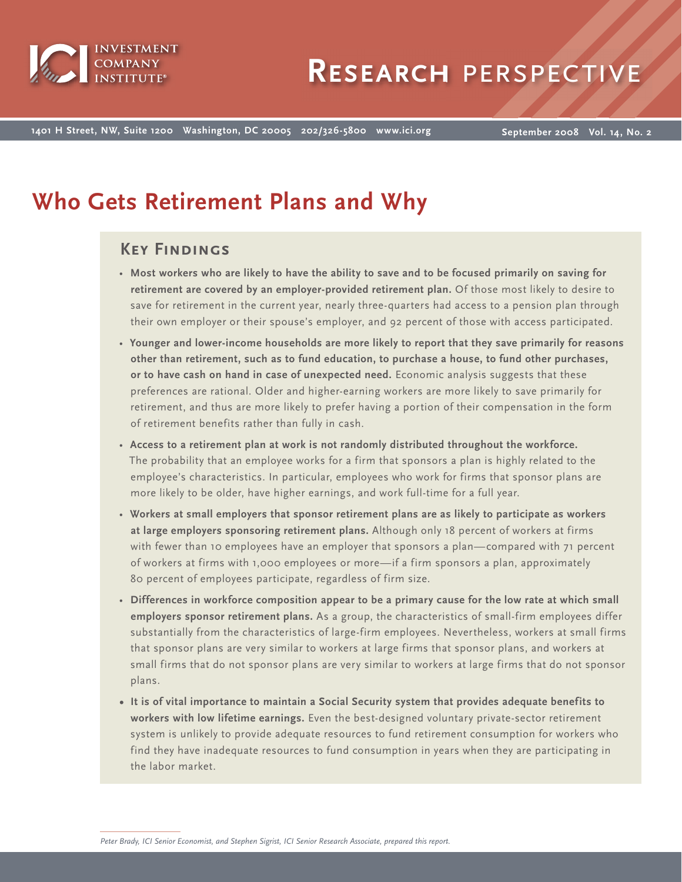

**1401 H Street, NW, Suite 1200 Washington, DC 20005 202/326-5800 www.ici.org**

**September 2008 Vol. 14, No. 2**

# **Who Gets Retirement Plans and Why**

# **Key Findings**

- **Most workers who are likely to have the ability to save and to be focused primarily on saving for retirement are covered by an employer-provided retirement plan.** Of those most likely to desire to save for retirement in the current year, nearly three-quarters had access to a pension plan through their own employer or their spouse's employer, and 92 percent of those with access participated.
- **Younger and lower-income households are more likely to report that they save primarily for reasons other than retirement, such as to fund education, to purchase a house, to fund other purchases, or to have cash on hand in case of unexpected need.** Economic analysis suggests that these preferences are rational. Older and higher-earning workers are more likely to save primarily for retirement, and thus are more likely to prefer having a portion of their compensation in the form of retirement benefits rather than fully in cash.
- **Access to a retirement plan at work is not randomly distributed throughout the workforce.**  The probability that an employee works for a firm that sponsors a plan is highly related to the employee's characteristics. In particular, employees who work for firms that sponsor plans are more likely to be older, have higher earnings, and work full-time for a full year.
- **Workers at small employers that sponsor retirement plans are as likely to participate as workers at large employers sponsoring retirement plans.** Although only 18 percent of workers at firms with fewer than 10 employees have an employer that sponsors a plan—compared with 71 percent of workers at firms with 1,000 employees or more—if a firm sponsors a plan, approximately 80 percent of employees participate, regardless of firm size.
- **Differences in workforce composition appear to be a primary cause for the low rate at which small employers sponsor retirement plans.** As a group, the characteristics of small-firm employees differ substantially from the characteristics of large-firm employees. Nevertheless, workers at small firms that sponsor plans are very similar to workers at large firms that sponsor plans, and workers at small firms that do not sponsor plans are very similar to workers at large firms that do not sponsor plans.
- **It is of vital importance to maintain a Social Security system that provides adequate benefits to workers with low lifetime earnings.** Even the best-designed voluntary private-sector retirement system is unlikely to provide adequate resources to fund retirement consumption for workers who find they have inadequate resources to fund consumption in years when they are participating in the labor market.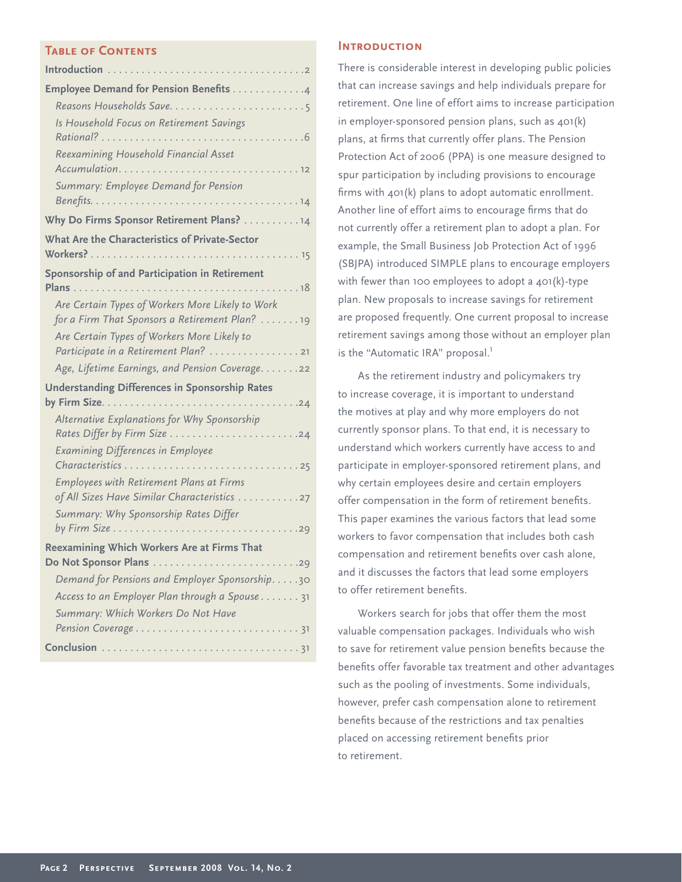## **Table of Contents**

| <b>Employee Demand for Pension Benefits 4</b>                                                      |
|----------------------------------------------------------------------------------------------------|
|                                                                                                    |
| Is Household Focus on Retirement Savings                                                           |
| Reexamining Household Financial Asset                                                              |
| Summary: Employee Demand for Pension                                                               |
| Why Do Firms Sponsor Retirement Plans? 14                                                          |
| What Are the Characteristics of Private-Sector                                                     |
| Sponsorship of and Participation in Retirement                                                     |
| Are Certain Types of Workers More Likely to Work<br>for a Firm That Sponsors a Retirement Plan? 19 |
| Are Certain Types of Workers More Likely to                                                        |
| Age, Lifetime Earnings, and Pension Coverage. 22                                                   |
| <b>Understanding Differences in Sponsorship Rates</b>                                              |
| Alternative Explanations for Why Sponsorship                                                       |
| <b>Examining Differences in Employee</b>                                                           |
| <b>Employees with Retirement Plans at Firms</b><br>of All Sizes Have Similar Characteristics 27    |
| Summary: Why Sponsorship Rates Differ                                                              |
| Reexamining Which Workers Are at Firms That<br>Do Not Sponsor Plans 29                             |
| Demand for Pensions and Employer Sponsorship30                                                     |
| Access to an Employer Plan through a Spouse 31                                                     |
| Summary: Which Workers Do Not Have                                                                 |
|                                                                                                    |

# **Introduction**

There is considerable interest in developing public policies that can increase savings and help individuals prepare for retirement. One line of effort aims to increase participation in employer-sponsored pension plans, such as 401(k) plans, at firms that currently offer plans. The Pension Protection Act of 2006 (PPA) is one measure designed to spur participation by including provisions to encourage firms with  $401(k)$  plans to adopt automatic enrollment. Another line of effort aims to encourage firms that do not currently offer a retirement plan to adopt a plan. For example, the Small Business Job Protection Act of 1996 (SBJPA) introduced SIMPLE plans to encourage employers with fewer than 100 employees to adopt a 401(k)-type plan. New proposals to increase savings for retirement are proposed frequently. One current proposal to increase retirement savings among those without an employer plan is the "Automatic IRA" proposal.<sup>1</sup>

As the retirement industry and policymakers try to increase coverage, it is important to understand the motives at play and why more employers do not currently sponsor plans. To that end, it is necessary to understand which workers currently have access to and participate in employer-sponsored retirement plans, and why certain employees desire and certain employers offer compensation in the form of retirement benefits. This paper examines the various factors that lead some workers to favor compensation that includes both cash compensation and retirement benefits over cash alone, and it discusses the factors that lead some employers to offer retirement benefits.

Workers search for jobs that offer them the most valuable compensation packages. Individuals who wish to save for retirement value pension benefits because the benefits offer favorable tax treatment and other advantages such as the pooling of investments. Some individuals, however, prefer cash compensation alone to retirement benefits because of the restrictions and tax penalties placed on accessing retirement benefits prior to retirement.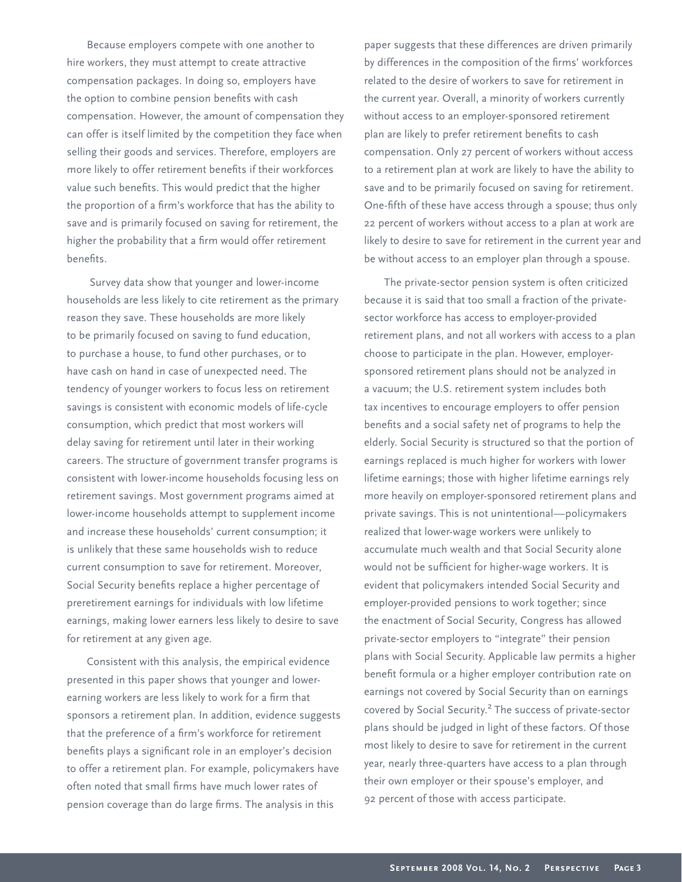Because employers compete with one another to hire workers, they must attempt to create attractive compensation packages. In doing so, employers have the option to combine pension benefits with cash compensation. However, the amount of compensation they can offer is itself limited by the competition they face when selling their goods and services. Therefore, employers are more likely to offer retirement benefits if their workforces value such benefits. This would predict that the higher the proportion of a firm's workforce that has the ability to save and is primarily focused on saving for retirement, the higher the probability that a firm would offer retirement benefits.

 Survey data show that younger and lower-income households are less likely to cite retirement as the primary reason they save. These households are more likely to be primarily focused on saving to fund education, to purchase a house, to fund other purchases, or to have cash on hand in case of unexpected need. The tendency of younger workers to focus less on retirement savings is consistent with economic models of life-cycle consumption, which predict that most workers will delay saving for retirement until later in their working careers. The structure of government transfer programs is consistent with lower-income households focusing less on retirement savings. Most government programs aimed at lower-income households attempt to supplement income and increase these households' current consumption; it is unlikely that these same households wish to reduce current consumption to save for retirement. Moreover, Social Security benefits replace a higher percentage of preretirement earnings for individuals with low lifetime earnings, making lower earners less likely to desire to save for retirement at any given age.

Consistent with this analysis, the empirical evidence presented in this paper shows that younger and lowerearning workers are less likely to work for a firm that sponsors a retirement plan. In addition, evidence suggests that the preference of a firm's workforce for retirement benefits plays a significant role in an employer's decision to offer a retirement plan. For example, policymakers have often noted that small firms have much lower rates of pension coverage than do large firms. The analysis in this

paper suggests that these differences are driven primarily by differences in the composition of the firms' workforces related to the desire of workers to save for retirement in the current year. Overall, a minority of workers currently without access to an employer-sponsored retirement plan are likely to prefer retirement benefits to cash compensation. Only 27 percent of workers without access to a retirement plan at work are likely to have the ability to save and to be primarily focused on saving for retirement. One-fifth of these have access through a spouse; thus only 22 percent of workers without access to a plan at work are likely to desire to save for retirement in the current year and be without access to an employer plan through a spouse.

The private-sector pension system is often criticized because it is said that too small a fraction of the privatesector workforce has access to employer-provided retirement plans, and not all workers with access to a plan choose to participate in the plan. However, employersponsored retirement plans should not be analyzed in a vacuum; the U.S. retirement system includes both tax incentives to encourage employers to offer pension benefits and a social safety net of programs to help the elderly. Social Security is structured so that the portion of earnings replaced is much higher for workers with lower lifetime earnings; those with higher lifetime earnings rely more heavily on employer-sponsored retirement plans and private savings. This is not unintentional—policymakers realized that lower-wage workers were unlikely to accumulate much wealth and that Social Security alone would not be sufficient for higher-wage workers. It is evident that policymakers intended Social Security and employer-provided pensions to work together; since the enactment of Social Security, Congress has allowed private-sector employers to "integrate" their pension plans with Social Security. Applicable law permits a higher benefit formula or a higher employer contribution rate on earnings not covered by Social Security than on earnings covered by Social Security.2 The success of private-sector plans should be judged in light of these factors. Of those most likely to desire to save for retirement in the current year, nearly three-quarters have access to a plan through their own employer or their spouse's employer, and 92 percent of those with access participate.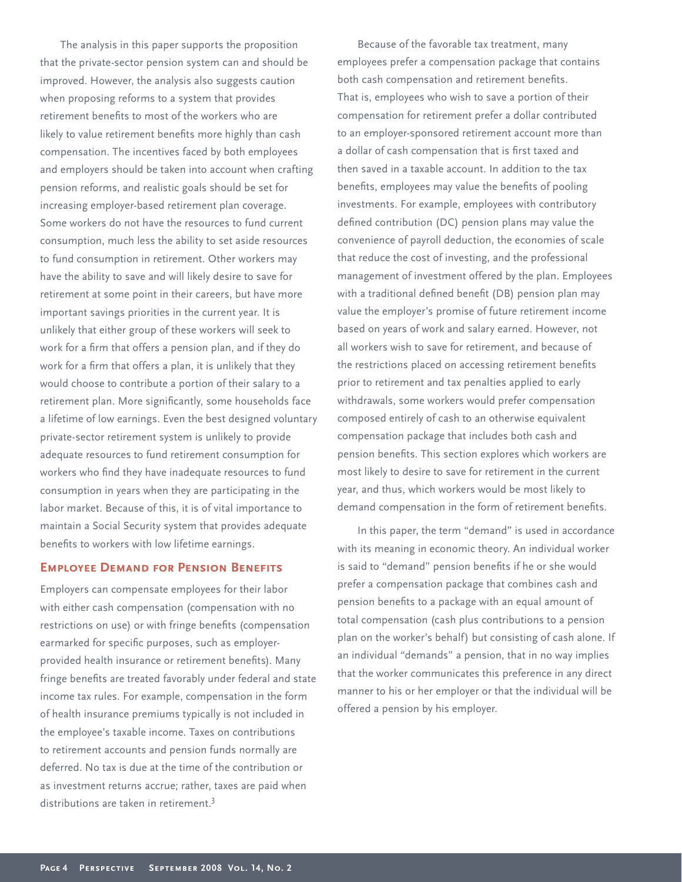The analysis in this paper supports the proposition that the private-sector pension system can and should be improved. However, the analysis also suggests caution when proposing reforms to a system that provides retirement benefits to most of the workers who are likely to value retirement benefits more highly than cash compensation. The incentives faced by both employees and employers should be taken into account when crafting pension reforms, and realistic goals should be set for increasing employer-based retirement plan coverage. Some workers do not have the resources to fund current consumption, much less the ability to set aside resources to fund consumption in retirement. Other workers may have the ability to save and will likely desire to save for retirement at some point in their careers, but have more important savings priorities in the current year. It is unlikely that either group of these workers will seek to work for a firm that offers a pension plan, and if they do work for a firm that offers a plan, it is unlikely that they would choose to contribute a portion of their salary to a retirement plan. More significantly, some households face a lifetime of low earnings. Even the best designed voluntary private-sector retirement system is unlikely to provide adequate resources to fund retirement consumption for workers who find they have inadequate resources to fund consumption in years when they are participating in the labor market. Because of this, it is of vital importance to maintain a Social Security system that provides adequate benefits to workers with low lifetime earnings.

# **EMPLOYEE DEMAND FOR PENSION BENEFITS**

Employers can compensate employees for their labor with either cash compensation (compensation with no restrictions on use) or with fringe benefits (compensation earmarked for specific purposes, such as employerprovided health insurance or retirement benefits). Many fringe benefits are treated favorably under federal and state income tax rules. For example, compensation in the form of health insurance premiums typically is not included in the employee's taxable income. Taxes on contributions to retirement accounts and pension funds normally are deferred. No tax is due at the time of the contribution or as investment returns accrue; rather, taxes are paid when distributions are taken in retirement.<sup>3</sup>

Because of the favorable tax treatment, many employees prefer a compensation package that contains both cash compensation and retirement benefits. That is, employees who wish to save a portion of their compensation for retirement prefer a dollar contributed to an employer-sponsored retirement account more than a dollar of cash compensation that is first taxed and then saved in a taxable account. In addition to the tax benefits, employees may value the benefits of pooling investments. For example, employees with contributory defined contribution (DC) pension plans may value the convenience of payroll deduction, the economies of scale that reduce the cost of investing, and the professional management of investment offered by the plan. Employees with a traditional defined benefit (DB) pension plan may value the employer's promise of future retirement income based on years of work and salary earned. However, not all workers wish to save for retirement, and because of the restrictions placed on accessing retirement benefits prior to retirement and tax penalties applied to early withdrawals, some workers would prefer compensation composed entirely of cash to an otherwise equivalent compensation package that includes both cash and pension benefits. This section explores which workers are most likely to desire to save for retirement in the current year, and thus, which workers would be most likely to demand compensation in the form of retirement benefits.

In this paper, the term "demand" is used in accordance with its meaning in economic theory. An individual worker is said to "demand" pension benefits if he or she would prefer a compensation package that combines cash and pension benefits to a package with an equal amount of total compensation (cash plus contributions to a pension plan on the worker's behalf) but consisting of cash alone. If an individual "demands" a pension, that in no way implies that the worker communicates this preference in any direct manner to his or her employer or that the individual will be offered a pension by his employer.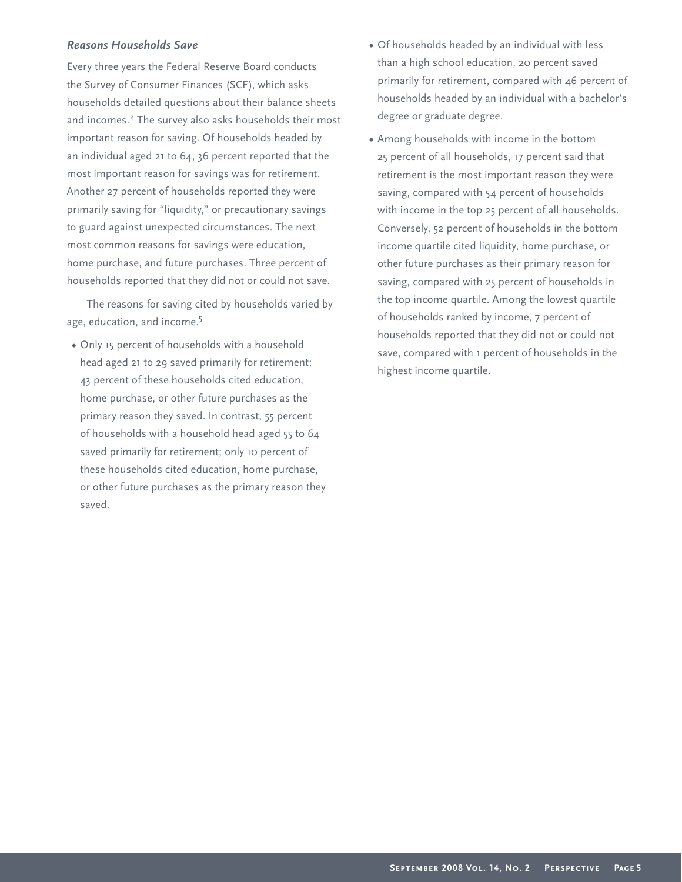# *Reasons Households Save*

Every three years the Federal Reserve Board conducts the Survey of Consumer Finances (SCF), which asks households detailed questions about their balance sheets and incomes.4 The survey also asks households their most important reason for saving. Of households headed by an individual aged 21 to 64, 36 percent reported that the most important reason for savings was for retirement. Another 27 percent of households reported they were primarily saving for "liquidity," or precautionary savings to guard against unexpected circumstances. The next most common reasons for savings were education, home purchase, and future purchases. Three percent of households reported that they did not or could not save.

The reasons for saving cited by households varied by age, education, and income.<sup>5</sup>

**•** Only 15 percent of households with a household head aged 21 to 29 saved primarily for retirement; 43 percent of these households cited education, home purchase, or other future purchases as the primary reason they saved. In contrast, 55 percent of households with a household head aged 55 to 64 saved primarily for retirement; only 10 percent of these households cited education, home purchase, or other future purchases as the primary reason they saved.

- **•** Of households headed by an individual with less than a high school education, 20 percent saved primarily for retirement, compared with 46 percent of households headed by an individual with a bachelor's degree or graduate degree.
- **•** Among households with income in the bottom 25 percent of all households, 17 percent said that retirement is the most important reason they were saving, compared with 54 percent of households with income in the top 25 percent of all households. Conversely, 52 percent of households in the bottom income quartile cited liquidity, home purchase, or other future purchases as their primary reason for saving, compared with 25 percent of households in the top income quartile. Among the lowest quartile of households ranked by income, 7 percent of households reported that they did not or could not save, compared with 1 percent of households in the highest income quartile.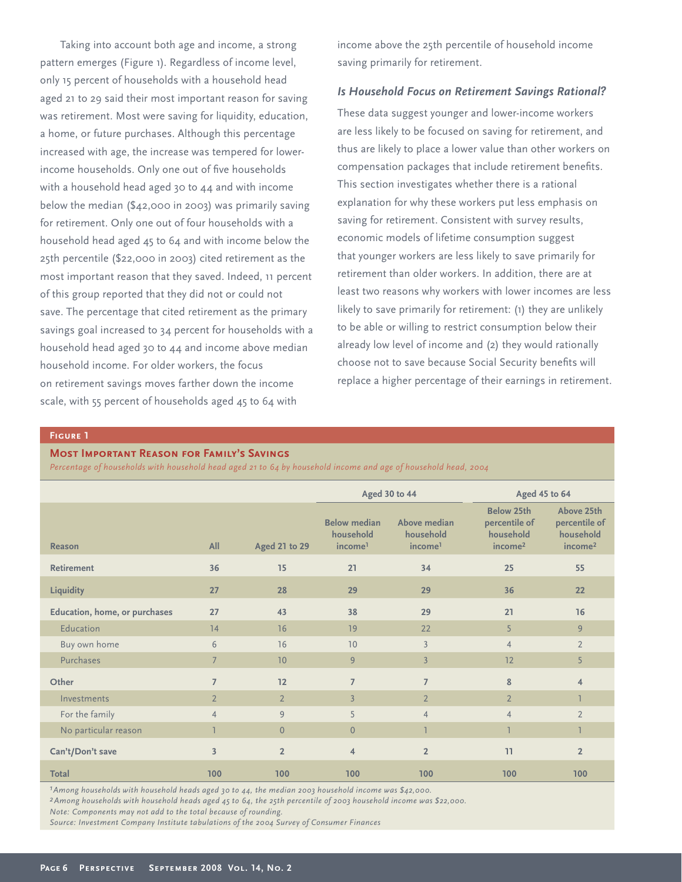Taking into account both age and income, a strong pattern emerges (Figure 1). Regardless of income level, only 15 percent of households with a household head aged 21 to 29 said their most important reason for saving was retirement. Most were saving for liquidity, education, a home, or future purchases. Although this percentage increased with age, the increase was tempered for lowerincome households. Only one out of five households with a household head aged 30 to 44 and with income below the median (\$42,000 in 2003) was primarily saving for retirement. Only one out of four households with a household head aged 45 to 64 and with income below the 25th percentile (\$22,000 in 2003) cited retirement as the most important reason that they saved. Indeed, 11 percent of this group reported that they did not or could not save. The percentage that cited retirement as the primary savings goal increased to 34 percent for households with a household head aged 30 to 44 and income above median household income. For older workers, the focus on retirement savings moves farther down the income scale, with 55 percent of households aged 45 to 64 with

income above the 25th percentile of household income saving primarily for retirement.

## *Is Household Focus on Retirement Savings Rational?*

These data suggest younger and lower-income workers are less likely to be focused on saving for retirement, and thus are likely to place a lower value than other workers on compensation packages that include retirement benefits. This section investigates whether there is a rational explanation for why these workers put less emphasis on saving for retirement. Consistent with survey results, economic models of lifetime consumption suggest that younger workers are less likely to save primarily for retirement than older workers. In addition, there are at least two reasons why workers with lower incomes are less likely to save primarily for retirement: (1) they are unlikely to be able or willing to restrict consumption below their already low level of income and (2) they would rationally choose not to save because Social Security benefits will replace a higher percentage of their earnings in retirement.

## **Figure 1**

## **Most Important Reason for Family's Savings**

*Percentage of households with household head aged 21 to 64 by household income and age of household head, 2004*

|                               |                         |                      | Aged 30 to 44                                           |                                                  | Aged 45 to 64                                                          |                                                                 |
|-------------------------------|-------------------------|----------------------|---------------------------------------------------------|--------------------------------------------------|------------------------------------------------------------------------|-----------------------------------------------------------------|
| <b>Reason</b>                 | All                     | <b>Aged 21 to 29</b> | <b>Below median</b><br>household<br>income <sup>1</sup> | Above median<br>household<br>income <sup>1</sup> | <b>Below 25th</b><br>percentile of<br>household<br>income <sup>2</sup> | Above 25th<br>percentile of<br>household<br>income <sup>2</sup> |
| <b>Retirement</b>             | 36                      | 15                   | 21                                                      | 34                                               | 25                                                                     | 55                                                              |
| <b>Liquidity</b>              | 27                      | 28                   | 29                                                      | 29                                               | 36                                                                     | 22                                                              |
| Education, home, or purchases | 27                      | 43                   | 38                                                      | 29                                               | 21                                                                     | 16                                                              |
| Education                     | 14                      | 16                   | 19                                                      | 22                                               | 5                                                                      | 9                                                               |
| Buy own home                  | 6                       | 16                   | 10                                                      | $\overline{3}$                                   | $\overline{4}$                                                         | $\overline{2}$                                                  |
| Purchases                     | $\overline{7}$          | 10                   | 9                                                       | $\overline{3}$                                   | 12                                                                     | 5                                                               |
| Other                         | $\overline{7}$          | 12                   | $\overline{7}$                                          | $\overline{7}$                                   | 8                                                                      | $\overline{4}$                                                  |
| Investments                   | $\overline{2}$          | $\overline{2}$       | $\overline{3}$                                          | $\overline{2}$                                   | $\overline{2}$                                                         |                                                                 |
| For the family                | $\overline{4}$          | 9                    | 5                                                       | $\overline{4}$                                   | $\overline{4}$                                                         | $\overline{2}$                                                  |
| No particular reason          | 1                       | $\overline{0}$       | $\overline{0}$                                          | ı                                                | ı                                                                      | 1                                                               |
| Can't/Don't save              | $\overline{\mathbf{3}}$ | $\overline{2}$       | $\overline{4}$                                          | $\overline{2}$                                   | 11                                                                     | $\overline{2}$                                                  |
| <b>Total</b>                  | 100                     | 100                  | 100                                                     | 100                                              | 100                                                                    | 100                                                             |

*1Among households with household heads aged 30 to 44, the median 2003 household income was \$42,000.* 

*2Among households with household heads aged 45 to 64, the 25th percentile of 2003 household income was \$22,000.* 

*Note: Components may not add to the total because of rounding.*

*Source: Investment Company Institute tabulations of the 2004 Survey of Consumer Finances*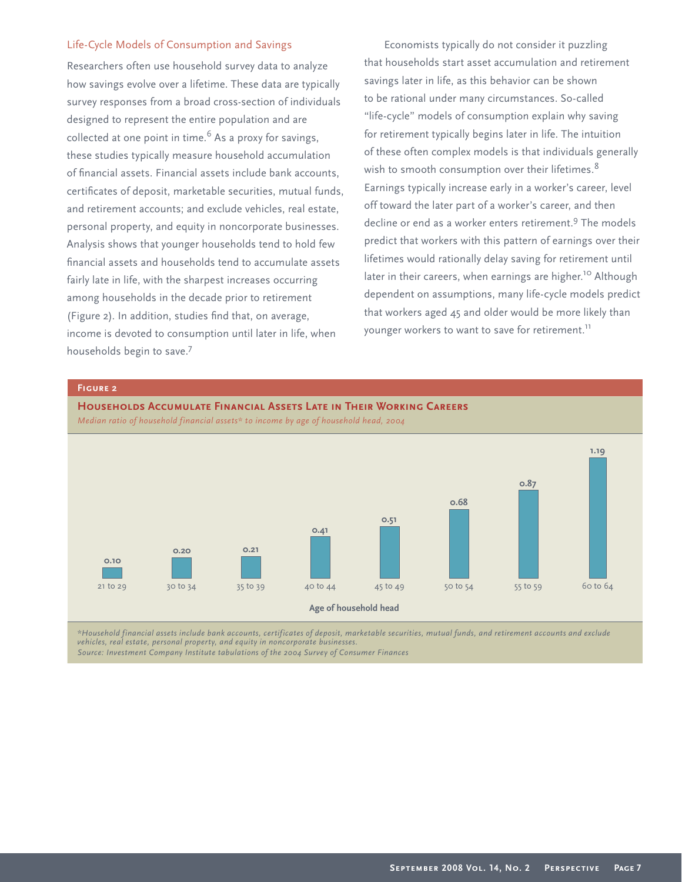## Life-Cycle Models of Consumption and Savings

Researchers often use household survey data to analyze how savings evolve over a lifetime. These data are typically survey responses from a broad cross-section of individuals designed to represent the entire population and are collected at one point in time. $6$  As a proxy for savings, these studies typically measure household accumulation of financial assets. Financial assets include bank accounts, certificates of deposit, marketable securities, mutual funds, and retirement accounts; and exclude vehicles, real estate, personal property, and equity in noncorporate businesses. Analysis shows that younger households tend to hold few financial assets and households tend to accumulate assets fairly late in life, with the sharpest increases occurring among households in the decade prior to retirement (Figure 2). In addition, studies find that, on average, income is devoted to consumption until later in life, when households begin to save.7

Economists typically do not consider it puzzling that households start asset accumulation and retirement savings later in life, as this behavior can be shown to be rational under many circumstances. So-called "life-cycle" models of consumption explain why saving for retirement typically begins later in life. The intuition of these often complex models is that individuals generally wish to smooth consumption over their lifetimes.<sup>8</sup> Earnings typically increase early in a worker's career, level off toward the later part of a worker's career, and then decline or end as a worker enters retirement.<sup>9</sup> The models predict that workers with this pattern of earnings over their lifetimes would rationally delay saving for retirement until later in their careers, when earnings are higher.<sup>10</sup> Although dependent on assumptions, many life-cycle models predict that workers aged 45 and older would be more likely than younger workers to want to save for retirement.<sup>11</sup>



*\*Household financial assets include bank accounts, certificates of deposit, marketable securities, mutual funds, and retirement accounts and exclude vehicles, real estate, personal property, and equity in noncorporate businesses.*

*Source: Investment Company Institute tabulations of the 2004 Survey of Consumer Finances*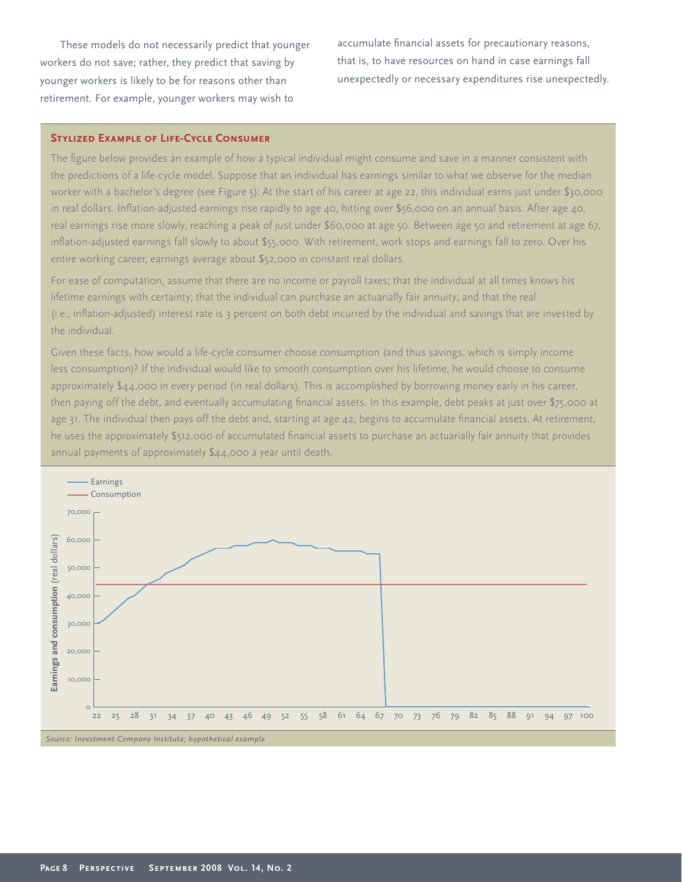These models do not necessarily predict that younger workers do not save; rather, they predict that saving by younger workers is likely to be for reasons other than retirement. For example, younger workers may wish to

accumulate financial assets for precautionary reasons, that is, to have resources on hand in case earnings fall unexpectedly or necessary expenditures rise unexpectedly.

## **Stylized Example of Life-Cycle Consumer**

The figure below provides an example of how a typical individual might consume and save in a manner consistent with the predictions of a life-cycle model. Suppose that an individual has earnings similar to what we observe for the median worker with a bachelor's degree (see Figure 5): At the start of his career at age 22, this individual earns just under \$30,000 in real dollars. Inflation-adjusted earnings rise rapidly to age 40, hitting over \$56,000 on an annual basis. After age 40, real earnings rise more slowly, reaching a peak of just under \$60,000 at age 50. Between age 50 and retirement at age 67, inflation-adjusted earnings fall slowly to about \$55,000. With retirement, work stops and earnings fall to zero. Over his entire working career, earnings average about \$52,000 in constant real dollars.

For ease of computation, assume that there are no income or payroll taxes; that the individual at all times knows his lifetime earnings with certainty; that the individual can purchase an actuarially fair annuity; and that the real (i.e., inflation-adjusted) interest rate is 3 percent on both debt incurred by the individual and savings that are invested by the individual.

Given these facts, how would a life-cycle consumer choose consumption (and thus savings, which is simply income less consumption)? If the individual would like to smooth consumption over his lifetime, he would choose to consume approximately \$44,000 in every period (in real dollars). This is accomplished by borrowing money early in his career, then paying off the debt, and eventually accumulating financial assets. In this example, debt peaks at just over \$75,000 at age 31. The individual then pays off the debt and, starting at age  $42$ , begins to accumulate financial assets. At retirement, he uses the approximately \$512,000 of accumulated financial assets to purchase an actuarially fair annuity that provides annual payments of approximately \$44,000 a year until death.

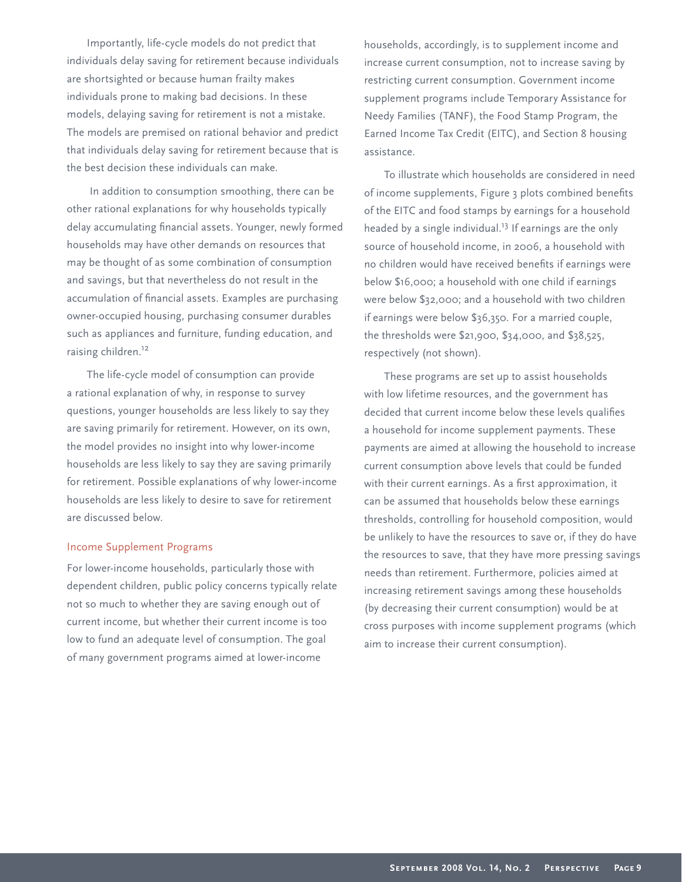Importantly, life-cycle models do not predict that individuals delay saving for retirement because individuals are shortsighted or because human frailty makes individuals prone to making bad decisions. In these models, delaying saving for retirement is not a mistake. The models are premised on rational behavior and predict that individuals delay saving for retirement because that is the best decision these individuals can make.

 In addition to consumption smoothing, there can be other rational explanations for why households typically delay accumulating financial assets. Younger, newly formed households may have other demands on resources that may be thought of as some combination of consumption and savings, but that nevertheless do not result in the accumulation of financial assets. Examples are purchasing owner-occupied housing, purchasing consumer durables such as appliances and furniture, funding education, and raising children.<sup>12</sup>

The life-cycle model of consumption can provide a rational explanation of why, in response to survey questions, younger households are less likely to say they are saving primarily for retirement. However, on its own, the model provides no insight into why lower-income households are less likely to say they are saving primarily for retirement. Possible explanations of why lower-income households are less likely to desire to save for retirement are discussed below.

#### Income Supplement Programs

For lower-income households, particularly those with dependent children, public policy concerns typically relate not so much to whether they are saving enough out of current income, but whether their current income is too low to fund an adequate level of consumption. The goal of many government programs aimed at lower-income

households, accordingly, is to supplement income and increase current consumption, not to increase saving by restricting current consumption. Government income supplement programs include Temporary Assistance for Needy Families (TANF), the Food Stamp Program, the Earned Income Tax Credit (EITC), and Section 8 housing assistance.

To illustrate which households are considered in need of income supplements, Figure 3 plots combined benefits of the EITC and food stamps by earnings for a household headed by a single individual.<sup>13</sup> If earnings are the only source of household income, in 2006, a household with no children would have received benefits if earnings were below \$16,000; a household with one child if earnings were below \$32,000; and a household with two children if earnings were below \$36,350. For a married couple, the thresholds were \$21,900, \$34,000, and \$38,525, respectively (not shown).

These programs are set up to assist households with low lifetime resources, and the government has decided that current income below these levels qualifies a household for income supplement payments. These payments are aimed at allowing the household to increase current consumption above levels that could be funded with their current earnings. As a first approximation, it can be assumed that households below these earnings thresholds, controlling for household composition, would be unlikely to have the resources to save or, if they do have the resources to save, that they have more pressing savings needs than retirement. Furthermore, policies aimed at increasing retirement savings among these households (by decreasing their current consumption) would be at cross purposes with income supplement programs (which aim to increase their current consumption).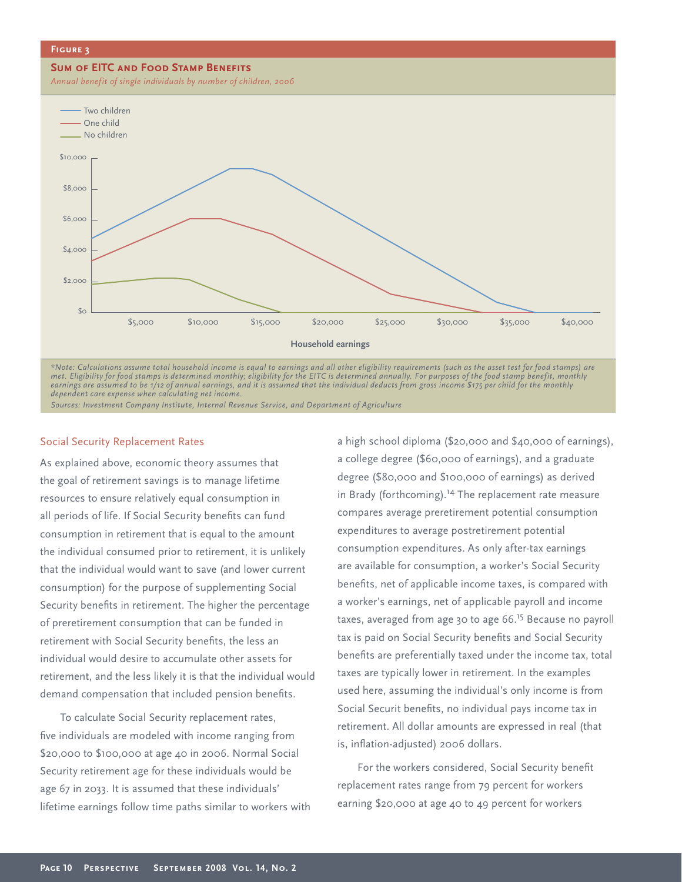#### **Figure 3**

#### **SUM OF EITC AND FOOD STAMP BENEFITS**

*Annual benefit of single individuals by number of children, 2006*



*met. Eligibility for food stamps is determined monthly; eligibility for the EITC is determined annually. For purposes of the food stamp benefit, monthly earnings are assumed to be 1/12 of annual earnings, and it is assumed that the individual deducts from gross income \$175 per child for the monthly dependent care expense when calculating net income.* 

*Sources: Investment Company Institute, Internal Revenue Service, and Department of Agriculture* 

## Social Security Replacement Rates

As explained above, economic theory assumes that the goal of retirement savings is to manage lifetime resources to ensure relatively equal consumption in all periods of life. If Social Security benefits can fund consumption in retirement that is equal to the amount the individual consumed prior to retirement, it is unlikely that the individual would want to save (and lower current consumption) for the purpose of supplementing Social Security benefits in retirement. The higher the percentage of preretirement consumption that can be funded in retirement with Social Security benefits, the less an individual would desire to accumulate other assets for retirement, and the less likely it is that the individual would demand compensation that included pension benefits.

To calculate Social Security replacement rates, five individuals are modeled with income ranging from \$20,000 to \$100,000 at age 40 in 2006. Normal Social Security retirement age for these individuals would be age 67 in 2033. It is assumed that these individuals' lifetime earnings follow time paths similar to workers with

a high school diploma (\$20,000 and \$40,000 of earnings), a college degree (\$60,000 of earnings), and a graduate degree (\$80,000 and \$100,000 of earnings) as derived in Brady (forthcoming).<sup>14</sup> The replacement rate measure compares average preretirement potential consumption expenditures to average postretirement potential consumption expenditures. As only after-tax earnings are available for consumption, a worker's Social Security benefits, net of applicable income taxes, is compared with a worker's earnings, net of applicable payroll and income taxes, averaged from age 30 to age 66.<sup>15</sup> Because no payroll tax is paid on Social Security benefits and Social Security benefits are preferentially taxed under the income tax, total taxes are typically lower in retirement. In the examples used here, assuming the individual's only income is from Social Securit benefits, no individual pays income tax in retirement. All dollar amounts are expressed in real (that is, inflation-adjusted) 2006 dollars.

For the workers considered, Social Security benefit replacement rates range from 79 percent for workers earning \$20,000 at age 40 to 49 percent for workers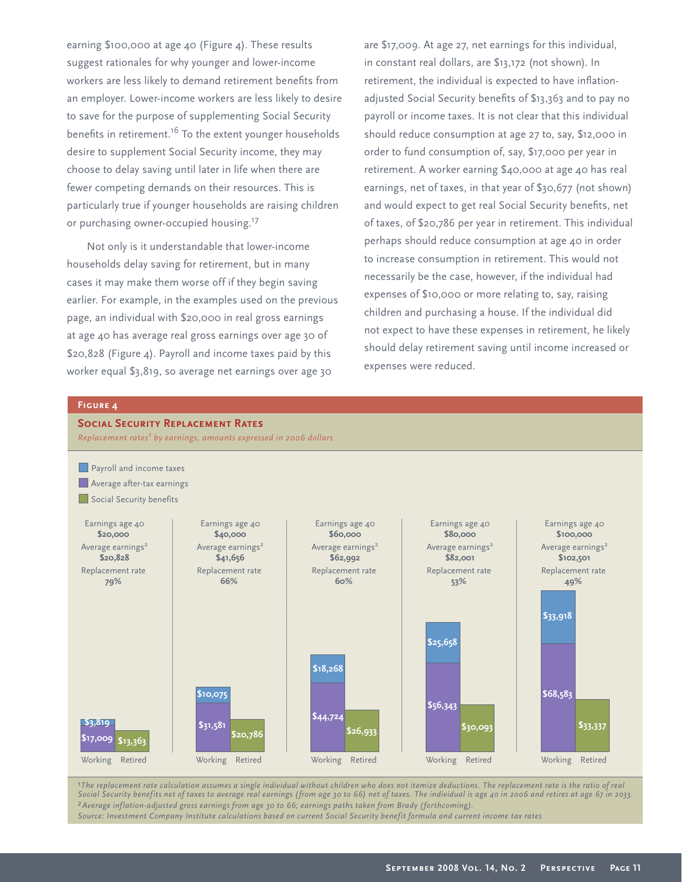earning \$100,000 at age 40 (Figure 4). These results suggest rationales for why younger and lower-income workers are less likely to demand retirement benefits from an employer. Lower-income workers are less likely to desire to save for the purpose of supplementing Social Security benefits in retirement.<sup>16</sup> To the extent younger households desire to supplement Social Security income, they may choose to delay saving until later in life when there are fewer competing demands on their resources. This is particularly true if younger households are raising children or purchasing owner-occupied housing.<sup>17</sup>

Not only is it understandable that lower-income households delay saving for retirement, but in many cases it may make them worse off if they begin saving earlier. For example, in the examples used on the previous page, an individual with \$20,000 in real gross earnings at age 40 has average real gross earnings over age 30 of \$20,828 (Figure 4). Payroll and income taxes paid by this worker equal \$3,819, so average net earnings over age 30

are \$17,009. At age 27, net earnings for this individual, in constant real dollars, are \$13,172 (not shown). In retirement, the individual is expected to have inflationadjusted Social Security benefits of \$13,363 and to pay no payroll or income taxes. It is not clear that this individual should reduce consumption at age 27 to, say, \$12,000 in order to fund consumption of, say, \$17,000 per year in retirement. A worker earning \$40,000 at age 40 has real earnings, net of taxes, in that year of \$30,677 (not shown) and would expect to get real Social Security benefits, net of taxes, of \$20,786 per year in retirement. This individual perhaps should reduce consumption at age 40 in order to increase consumption in retirement. This would not necessarily be the case, however, if the individual had expenses of \$10,000 or more relating to, say, raising children and purchasing a house. If the individual did not expect to have these expenses in retirement, he likely should delay retirement saving until income increased or expenses were reduced.

#### **Figure 4**

# **Social Security Replacement Rates**



*1The replacement rate calculation assumes a single individual without children who does not itemize deductions. The replacement rate is the ratio of real Social Security benefits net of taxes to average real earnings (from age 30 to 66) net of taxes. The individual is age 40 in 2006 and retires at age 67 in 2033. 2Average inflation-adjusted gross earnings from age 30 to 66; earnings paths taken from Brady (forthcoming). Source: Investment Company Institute calculations based on current Social Security benefit formula and current income tax rates*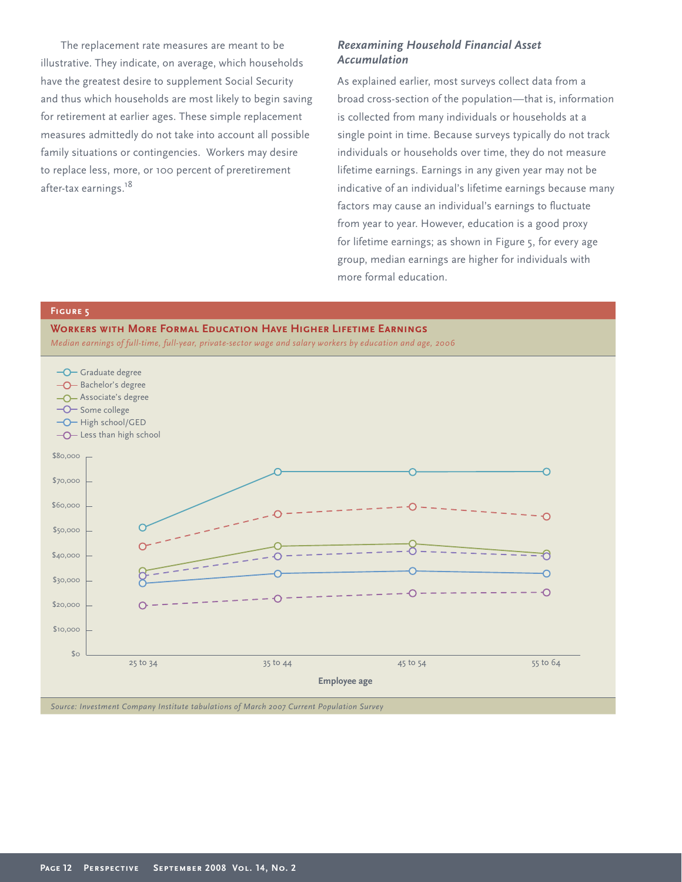The replacement rate measures are meant to be illustrative. They indicate, on average, which households have the greatest desire to supplement Social Security and thus which households are most likely to begin saving for retirement at earlier ages. These simple replacement measures admittedly do not take into account all possible family situations or contingencies. Workers may desire to replace less, more, or 100 percent of preretirement after-tax earnings.<sup>18</sup>

## *Reexamining Household Financial Asset Accumulation*

As explained earlier, most surveys collect data from a broad cross-section of the population—that is, information is collected from many individuals or households at a single point in time. Because surveys typically do not track individuals or households over time, they do not measure lifetime earnings. Earnings in any given year may not be indicative of an individual's lifetime earnings because many factors may cause an individual's earnings to fluctuate from year to year. However, education is a good proxy for lifetime earnings; as shown in Figure 5, for every age group, median earnings are higher for individuals with more formal education.

## **Figure 5**

**Workers with More Formal Education Have Higher Lifetime Earnings** *Median earnings of full-time, full-year, private-sector wage and salary workers by education and age, 2006*

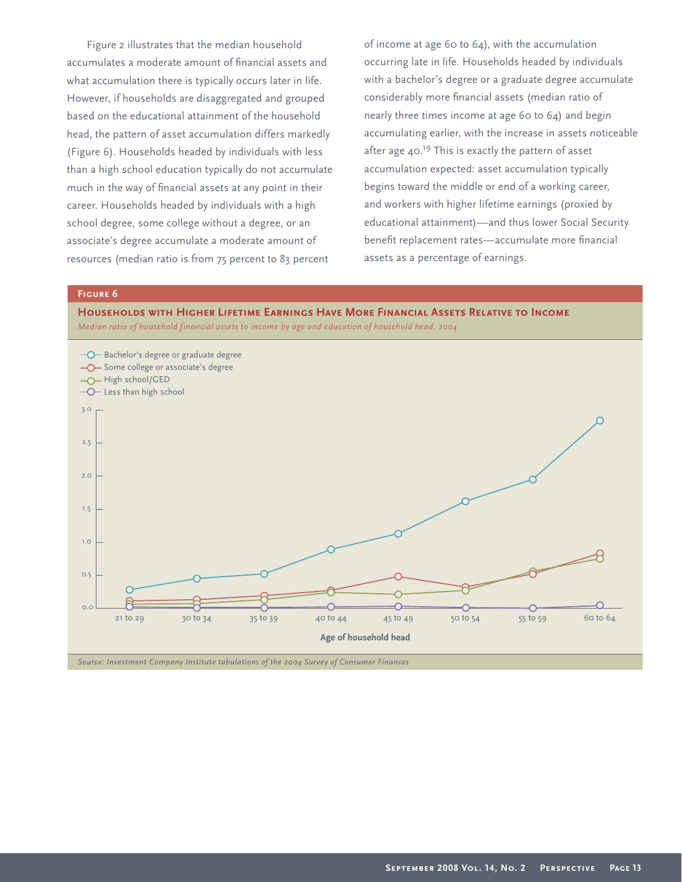Figure 2 illustrates that the median household accumulates a moderate amount of financial assets and what accumulation there is typically occurs later in life. However, if households are disaggregated and grouped based on the educational attainment of the household head, the pattern of asset accumulation differs markedly (Figure 6). Households headed by individuals with less than a high school education typically do not accumulate much in the way of financial assets at any point in their career. Households headed by individuals with a high school degree, some college without a degree, or an associate's degree accumulate a moderate amount of resources (median ratio is from 75 percent to 83 percent

of income at age 60 to 64), with the accumulation occurring late in life. Households headed by individuals with a bachelor's degree or a graduate degree accumulate considerably more financial assets (median ratio of nearly three times income at age 60 to 64) and begin accumulating earlier, with the increase in assets noticeable after age  $40.^{19}$  This is exactly the pattern of asset accumulation expected: asset accumulation typically begins toward the middle or end of a working career, and workers with higher lifetime earnings (proxied by educational attainment)—and thus lower Social Security benefit replacement rates—accumulate more financial assets as a percentage of earnings.

# **Figure 6**

**Households with Higher Lifetime Earnings Have More Financial Assets Relative to Income** *Median ratio of household financial assets to income by age and education of household head, 2004*

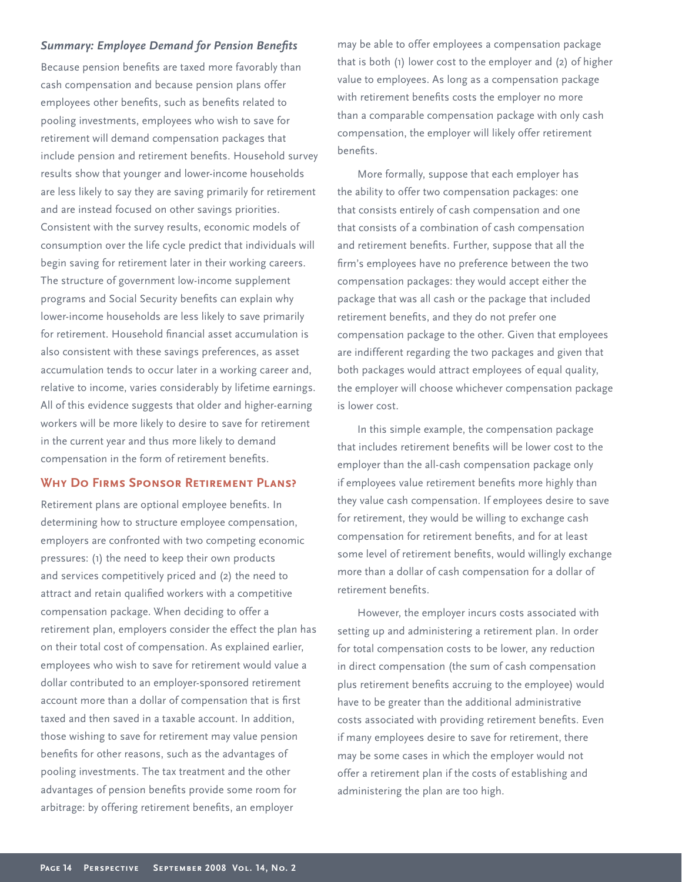## **Summary: Employee Demand for Pension Benefits**

Because pension benefits are taxed more favorably than cash compensation and because pension plans offer employees other benefits, such as benefits related to pooling investments, employees who wish to save for retirement will demand compensation packages that include pension and retirement benefits. Household survey results show that younger and lower-income households are less likely to say they are saving primarily for retirement and are instead focused on other savings priorities. Consistent with the survey results, economic models of consumption over the life cycle predict that individuals will begin saving for retirement later in their working careers. The structure of government low-income supplement programs and Social Security benefits can explain why lower-income households are less likely to save primarily for retirement. Household financial asset accumulation is also consistent with these savings preferences, as asset accumulation tends to occur later in a working career and, relative to income, varies considerably by lifetime earnings. All of this evidence suggests that older and higher-earning workers will be more likely to desire to save for retirement in the current year and thus more likely to demand compensation in the form of retirement benefits.

## **Why Do Firms Sponsor Retirement Plans?**

Retirement plans are optional employee benefits. In determining how to structure employee compensation, employers are confronted with two competing economic pressures: (1) the need to keep their own products and services competitively priced and (2) the need to attract and retain qualified workers with a competitive compensation package. When deciding to offer a retirement plan, employers consider the effect the plan has on their total cost of compensation. As explained earlier, employees who wish to save for retirement would value a dollar contributed to an employer-sponsored retirement account more than a dollar of compensation that is first taxed and then saved in a taxable account. In addition, those wishing to save for retirement may value pension benefits for other reasons, such as the advantages of pooling investments. The tax treatment and the other advantages of pension benefits provide some room for arbitrage: by offering retirement benefits, an employer

may be able to offer employees a compensation package that is both (1) lower cost to the employer and (2) of higher value to employees. As long as a compensation package with retirement benefits costs the employer no more than a comparable compensation package with only cash compensation, the employer will likely offer retirement benefits.

More formally, suppose that each employer has the ability to offer two compensation packages: one that consists entirely of cash compensation and one that consists of a combination of cash compensation and retirement benefits. Further, suppose that all the firm's employees have no preference between the two compensation packages: they would accept either the package that was all cash or the package that included retirement benefits, and they do not prefer one compensation package to the other. Given that employees are indifferent regarding the two packages and given that both packages would attract employees of equal quality, the employer will choose whichever compensation package is lower cost.

In this simple example, the compensation package that includes retirement benefits will be lower cost to the employer than the all-cash compensation package only if employees value retirement benefits more highly than they value cash compensation. If employees desire to save for retirement, they would be willing to exchange cash compensation for retirement benefits, and for at least some level of retirement benefits, would willingly exchange more than a dollar of cash compensation for a dollar of retirement benefits

However, the employer incurs costs associated with setting up and administering a retirement plan. In order for total compensation costs to be lower, any reduction in direct compensation (the sum of cash compensation plus retirement benefits accruing to the employee) would have to be greater than the additional administrative costs associated with providing retirement benefits. Even if many employees desire to save for retirement, there may be some cases in which the employer would not offer a retirement plan if the costs of establishing and administering the plan are too high.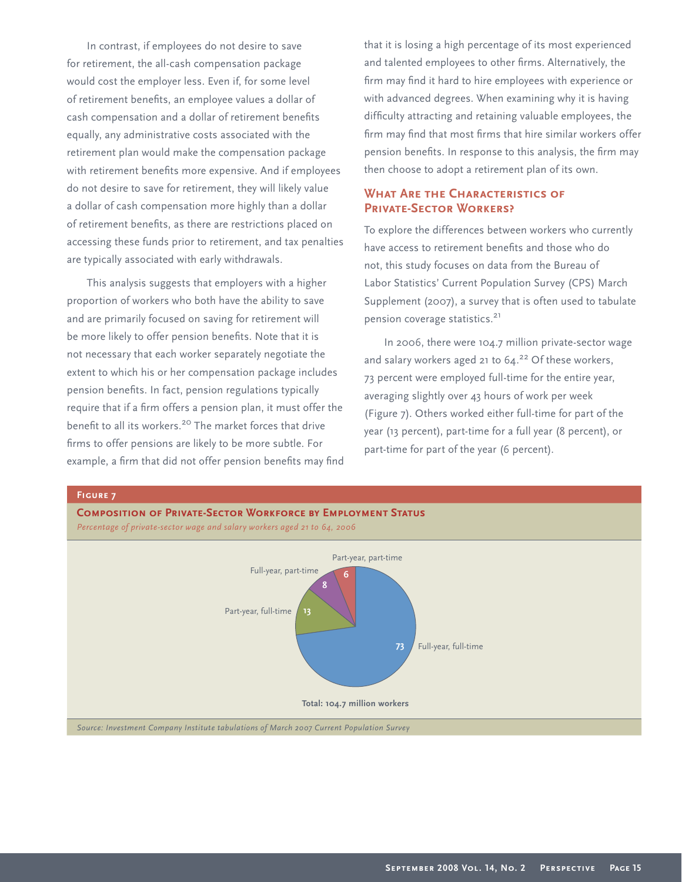In contrast, if employees do not desire to save for retirement, the all-cash compensation package would cost the employer less. Even if, for some level of retirement benefits, an employee values a dollar of cash compensation and a dollar of retirement benefits equally, any administrative costs associated with the retirement plan would make the compensation package with retirement benefits more expensive. And if employees do not desire to save for retirement, they will likely value a dollar of cash compensation more highly than a dollar of retirement benefits, as there are restrictions placed on accessing these funds prior to retirement, and tax penalties are typically associated with early withdrawals.

This analysis suggests that employers with a higher proportion of workers who both have the ability to save and are primarily focused on saving for retirement will be more likely to offer pension benefits. Note that it is not necessary that each worker separately negotiate the extent to which his or her compensation package includes pension benefits. In fact, pension regulations typically require that if a firm offers a pension plan, it must offer the benefit to all its workers.<sup>20</sup> The market forces that drive firms to offer pensions are likely to be more subtle. For example, a firm that did not offer pension benefits may find that it is losing a high percentage of its most experienced and talented employees to other firms. Alternatively, the firm may find it hard to hire employees with experience or with advanced degrees. When examining why it is having difficulty attracting and retaining valuable employees, the firm may find that most firms that hire similar workers offer pension benefits. In response to this analysis, the firm may then choose to adopt a retirement plan of its own.

# **What Are the Characteristics of Private-Sector Workers?**

To explore the differences between workers who currently have access to retirement benefits and those who do not, this study focuses on data from the Bureau of Labor Statistics' Current Population Survey (CPS) March Supplement (2007), a survey that is often used to tabulate pension coverage statistics.<sup>21</sup>

In 2006, there were 104.7 million private-sector wage and salary workers aged 21 to  $64.^{22}$  Of these workers, 73 percent were employed full-time for the entire year, averaging slightly over 43 hours of work per week (Figure 7). Others worked either full-time for part of the year (13 percent), part-time for a full year (8 percent), or part-time for part of the year (6 percent).

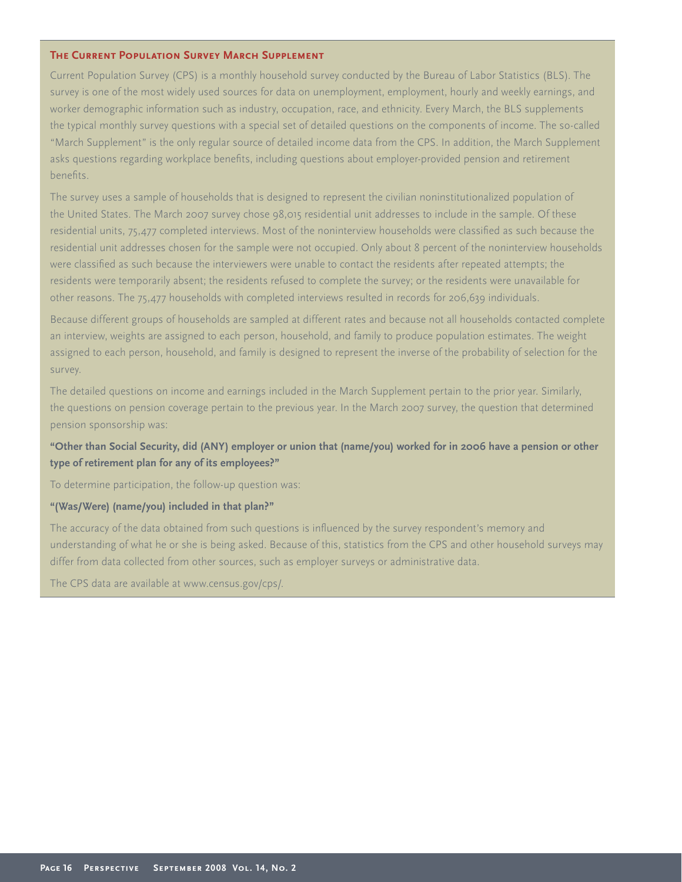## **The Current Population Survey March Supplement**

Current Population Survey (CPS) is a monthly household survey conducted by the Bureau of Labor Statistics (BLS). The survey is one of the most widely used sources for data on unemployment, employment, hourly and weekly earnings, and worker demographic information such as industry, occupation, race, and ethnicity. Every March, the BLS supplements the typical monthly survey questions with a special set of detailed questions on the components of income. The so-called "March Supplement" is the only regular source of detailed income data from the CPS. In addition, the March Supplement asks questions regarding workplace benefits, including questions about employer-provided pension and retirement benefits.

The survey uses a sample of households that is designed to represent the civilian noninstitutionalized population of the United States. The March 2007 survey chose 98,015 residential unit addresses to include in the sample. Of these residential units, 75,477 completed interviews. Most of the noninterview households were classified as such because the residential unit addresses chosen for the sample were not occupied. Only about 8 percent of the noninterview households were classified as such because the interviewers were unable to contact the residents after repeated attempts; the residents were temporarily absent; the residents refused to complete the survey; or the residents were unavailable for other reasons. The 75,477 households with completed interviews resulted in records for 206,639 individuals.

Because different groups of households are sampled at different rates and because not all households contacted complete an interview, weights are assigned to each person, household, and family to produce population estimates. The weight assigned to each person, household, and family is designed to represent the inverse of the probability of selection for the survey.

The detailed questions on income and earnings included in the March Supplement pertain to the prior year. Similarly, the questions on pension coverage pertain to the previous year. In the March 2007 survey, the question that determined pension sponsorship was:

# **"Other than Social Security, did (ANY) employer or union that (name/you) worked for in 2006 have a pension or other type of retirement plan for any of its employees?"**

To determine participation, the follow-up question was:

## **"(Was/Were) (name/you) included in that plan?"**

The accuracy of the data obtained from such questions is influenced by the survey respondent's memory and understanding of what he or she is being asked. Because of this, statistics from the CPS and other household surveys may differ from data collected from other sources, such as employer surveys or administrative data.

The CPS data are available at www.census.gov/cps/.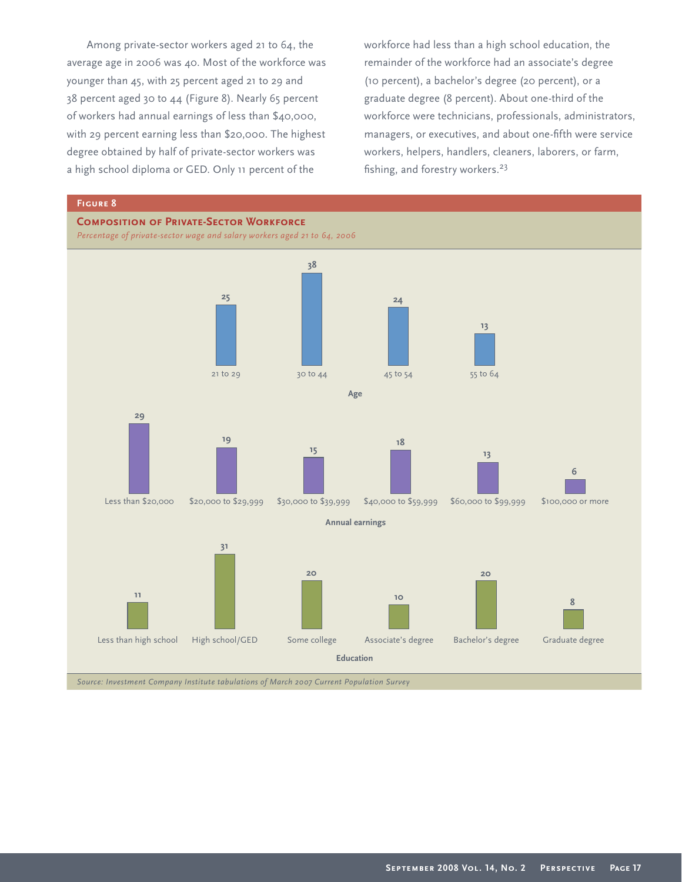Among private-sector workers aged 21 to 64, the average age in 2006 was 40. Most of the workforce was younger than 45, with 25 percent aged 21 to 29 and 38 percent aged 30 to 44 (Figure 8). Nearly 65 percent of workers had annual earnings of less than \$40,000, with 29 percent earning less than \$20,000. The highest degree obtained by half of private-sector workers was a high school diploma or GED. Only 11 percent of the

workforce had less than a high school education, the remainder of the workforce had an associate's degree (10 percent), a bachelor's degree (20 percent), or a graduate degree (8 percent). About one-third of the workforce were technicians, professionals, administrators, managers, or executives, and about one-fifth were service workers, helpers, handlers, cleaners, laborers, or farm, fishing, and forestry workers. $23$ 

## **Figure 8**

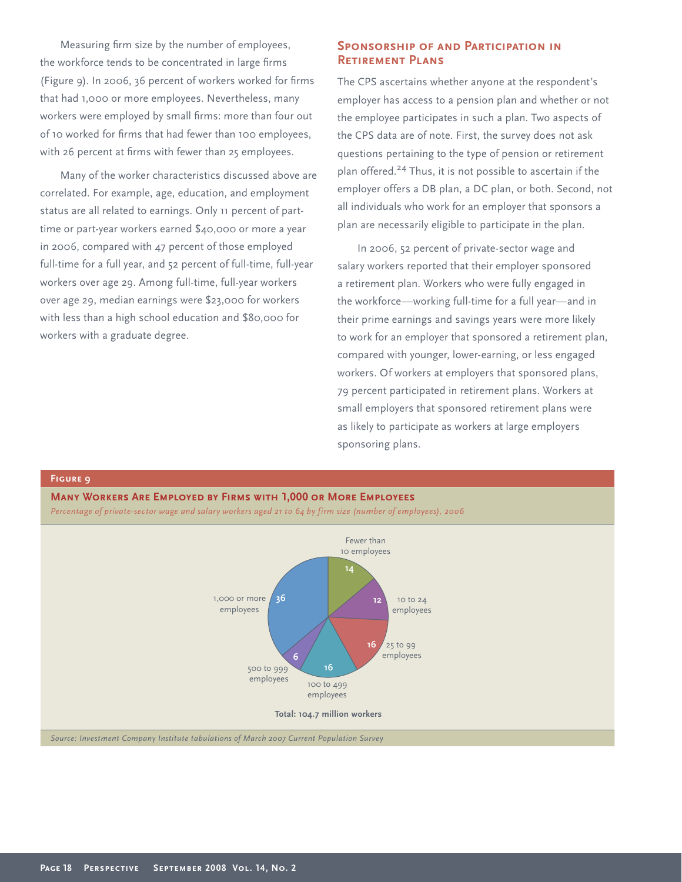Measuring firm size by the number of employees, the workforce tends to be concentrated in large firms (Figure 9). In 2006, 36 percent of workers worked for firms that had 1,000 or more employees. Nevertheless, many workers were employed by small firms: more than four out of 10 worked for firms that had fewer than 100 employees, with 26 percent at firms with fewer than 25 employees.

Many of the worker characteristics discussed above are correlated. For example, age, education, and employment status are all related to earnings. Only 11 percent of parttime or part-year workers earned \$40,000 or more a year in 2006, compared with 47 percent of those employed full-time for a full year, and 52 percent of full-time, full-year workers over age 29. Among full-time, full-year workers over age 29, median earnings were \$23,000 for workers with less than a high school education and \$80,000 for workers with a graduate degree.

**Figure 9**

## **Sponsorship of and Participation in Retirement Plans**

The CPS ascertains whether anyone at the respondent's employer has access to a pension plan and whether or not the employee participates in such a plan. Two aspects of the CPS data are of note. First, the survey does not ask questions pertaining to the type of pension or retirement plan offered.<sup>24</sup> Thus, it is not possible to ascertain if the employer offers a DB plan, a DC plan, or both. Second, not all individuals who work for an employer that sponsors a plan are necessarily eligible to participate in the plan.

In 2006, 52 percent of private-sector wage and salary workers reported that their employer sponsored a retirement plan. Workers who were fully engaged in the workforce—working full-time for a full year—and in their prime earnings and savings years were more likely to work for an employer that sponsored a retirement plan, compared with younger, lower-earning, or less engaged workers. Of workers at employers that sponsored plans, 79 percent participated in retirement plans. Workers at small employers that sponsored retirement plans were as likely to participate as workers at large employers sponsoring plans.

**Many Workers Are Employed by Firms with 1,000 or More Employees** *Percentage of private-sector wage and salary workers aged 21 to 64 by firm size (number of employees), 2006* **Total: 104.7 million workers 14 12 16 16** Fewer than 10 employees 25 to 99 employees 100 to 499 employees 10 to 24 employees **6 36** 500 to 999 employees 1,000 or more employees *Source: Investment Company Institute tabulations of March 2007 Current Population Survey*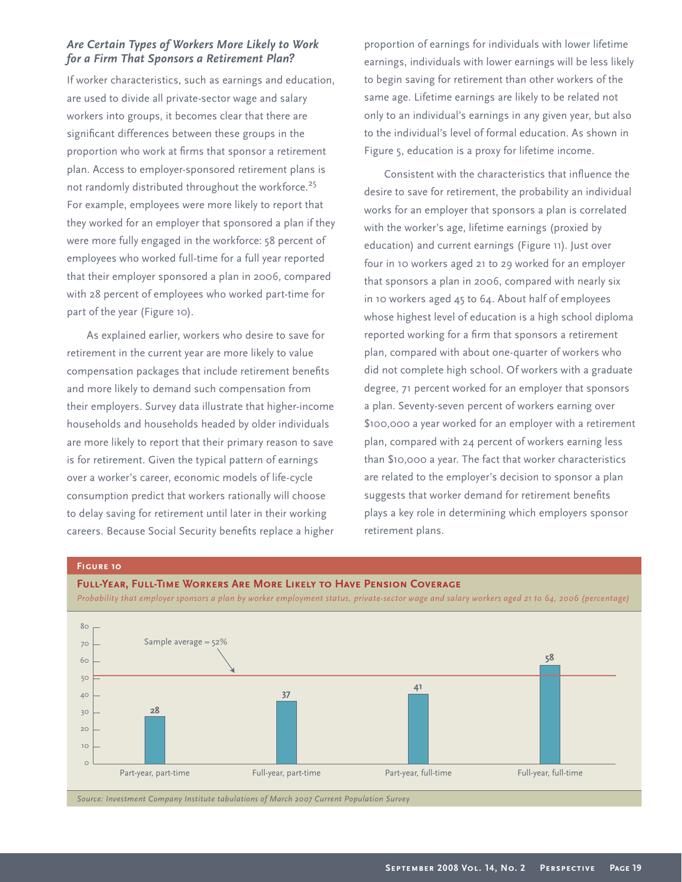# *Are Certain Types of Workers More Likely to Work for a Firm That Sponsors a Retirement Plan?*

If worker characteristics, such as earnings and education, are used to divide all private-sector wage and salary workers into groups, it becomes clear that there are significant differences between these groups in the proportion who work at firms that sponsor a retirement plan. Access to employer-sponsored retirement plans is not randomly distributed throughout the workforce.<sup>25</sup> For example, employees were more likely to report that they worked for an employer that sponsored a plan if they were more fully engaged in the workforce: 58 percent of employees who worked full-time for a full year reported that their employer sponsored a plan in 2006, compared with 28 percent of employees who worked part-time for part of the year (Figure 10).

As explained earlier, workers who desire to save for retirement in the current year are more likely to value compensation packages that include retirement benefits and more likely to demand such compensation from their employers. Survey data illustrate that higher-income households and households headed by older individuals are more likely to report that their primary reason to save is for retirement. Given the typical pattern of earnings over a worker's career, economic models of life-cycle consumption predict that workers rationally will choose to delay saving for retirement until later in their working careers. Because Social Security benefits replace a higher

proportion of earnings for individuals with lower lifetime earnings, individuals with lower earnings will be less likely to begin saving for retirement than other workers of the same age. Lifetime earnings are likely to be related not only to an individual's earnings in any given year, but also to the individual's level of formal education. As shown in Figure 5, education is a proxy for lifetime income.

Consistent with the characteristics that influence the desire to save for retirement, the probability an individual works for an employer that sponsors a plan is correlated with the worker's age, lifetime earnings (proxied by education) and current earnings (Figure 11). Just over four in 10 workers aged 21 to 29 worked for an employer that sponsors a plan in 2006, compared with nearly six in 10 workers aged 45 to 64. About half of employees whose highest level of education is a high school diploma reported working for a firm that sponsors a retirement plan, compared with about one-quarter of workers who did not complete high school. Of workers with a graduate degree, 71 percent worked for an employer that sponsors a plan. Seventy-seven percent of workers earning over \$100,000 a year worked for an employer with a retirement plan, compared with 24 percent of workers earning less than \$10,000 a year. The fact that worker characteristics are related to the employer's decision to sponsor a plan suggests that worker demand for retirement benefits plays a key role in determining which employers sponsor retirement plans.

## **Figure 10**

#### **Full-Year, Full-Time Workers Are More Likely to Have Pension Coverage**

*Probability that employer sponsors a plan by worker employment status, private-sector wage and salary workers aged 21 to 64, 2006 (percentage)*

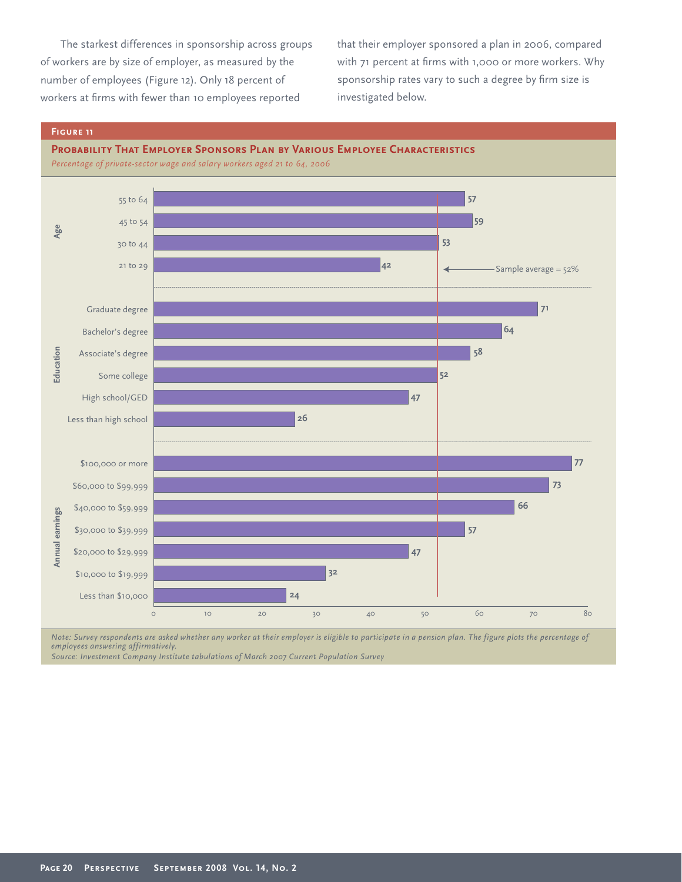The starkest differences in sponsorship across groups of workers are by size of employer, as measured by the number of employees (Figure 12). Only 18 percent of workers at firms with fewer than 10 employees reported

that their employer sponsored a plan in 2006, compared with 71 percent at firms with 1,000 or more workers. Why sponsorship rates vary to such a degree by firm size is investigated below.

## **Figure 11**



*Percentage of private-sector wage and salary workers aged 21 to 64, 2006*



*Note: Survey respondents are asked whether any worker at their employer is eligible to participate in a pension plan. The figure plots the percentage of employees answering affirmatively.*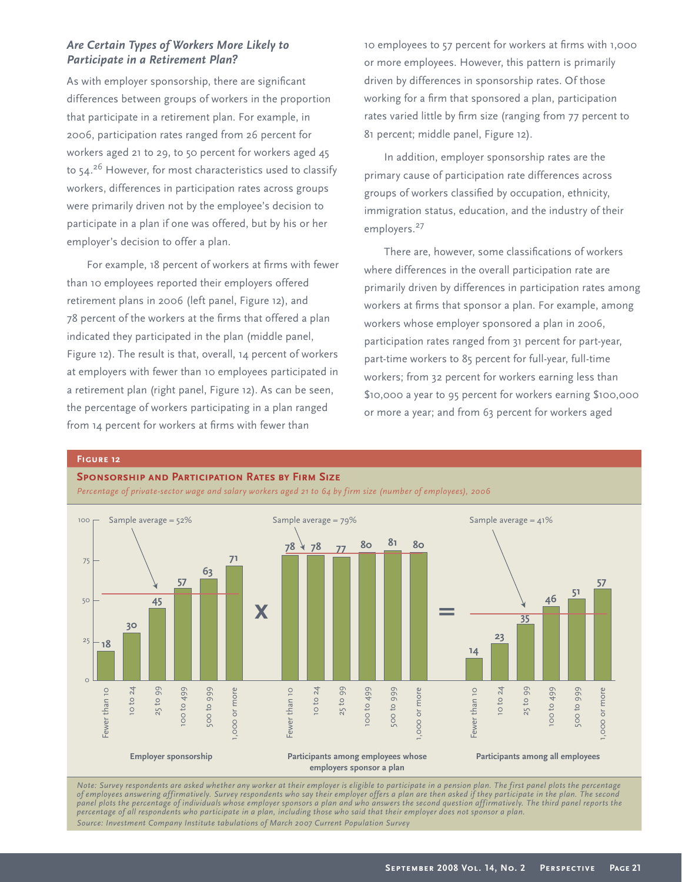# *Are Certain Types of Workers More Likely to Participate in a Retirement Plan?*

As with employer sponsorship, there are significant differences between groups of workers in the proportion that participate in a retirement plan. For example, in 2006, participation rates ranged from 26 percent for workers aged 21 to 29, to 50 percent for workers aged 45 to 54.<sup>26</sup> However, for most characteristics used to classify workers, differences in participation rates across groups were primarily driven not by the employee's decision to participate in a plan if one was offered, but by his or her employer's decision to offer a plan.

For example, 18 percent of workers at firms with fewer than 10 employees reported their employers offered retirement plans in 2006 (left panel, Figure 12), and 78 percent of the workers at the firms that offered a plan indicated they participated in the plan (middle panel, Figure 12). The result is that, overall, 14 percent of workers at employers with fewer than 10 employees participated in a retirement plan (right panel, Figure 12). As can be seen, the percentage of workers participating in a plan ranged from 14 percent for workers at firms with fewer than

10 employees to 57 percent for workers at firms with 1,000 or more employees. However, this pattern is primarily driven by differences in sponsorship rates. Of those working for a firm that sponsored a plan, participation rates varied little by firm size (ranging from 77 percent to 81 percent; middle panel, Figure 12).

In addition, employer sponsorship rates are the primary cause of participation rate differences across groups of workers classified by occupation, ethnicity, immigration status, education, and the industry of their employers.<sup>27</sup>

There are, however, some classifications of workers where differences in the overall participation rate are primarily driven by differences in participation rates among workers at firms that sponsor a plan. For example, among workers whose employer sponsored a plan in 2006, participation rates ranged from 31 percent for part-year, part-time workers to 85 percent for full-year, full-time workers; from 32 percent for workers earning less than \$10,000 a year to 95 percent for workers earning \$100,000 or more a year; and from 63 percent for workers aged

## **Figure 12**

#### **Sponsorship and Participation Rates by Firm Size**



*Percentage of private-sector wage and salary workers aged 21 to 64 by firm size (number of employees), 2006*

*Note: Survey respondents are asked whether any worker at their employer is eligible to participate in a pension plan. The first panel plots the percentage of employees answering affirmatively. Survey respondents who say their employer offers a plan are then asked if they participate in the plan. The second panel plots the percentage of individuals whose employer sponsors a plan and who answers the second question affirmatively. The third panel reports the percentage of all respondents who participate in a plan, including those who said that their employer does not sponsor a plan. Source: Investment Company Institute tabulations of March 2007 Current Population Survey*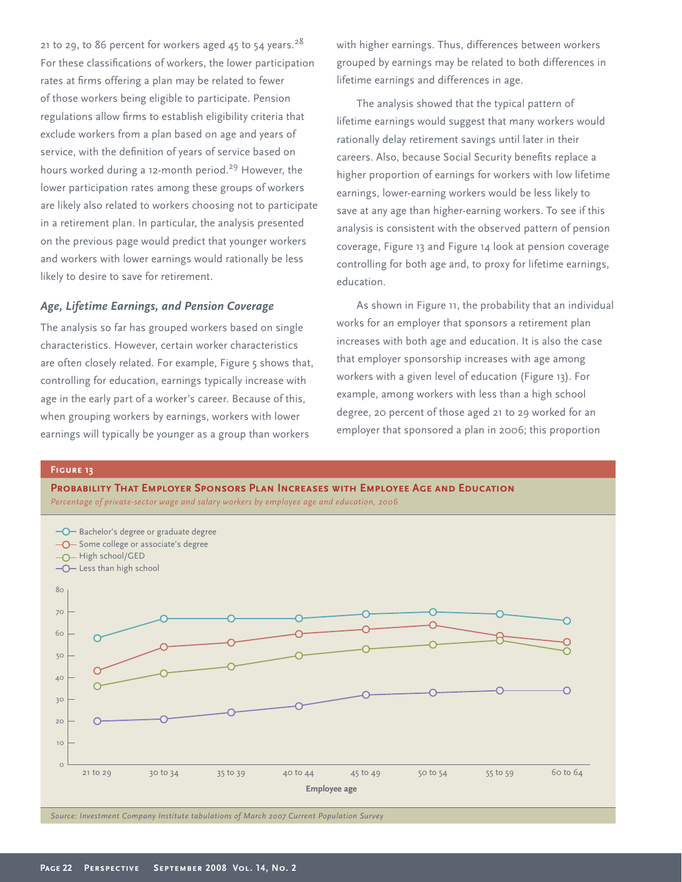21 to 29, to 86 percent for workers aged 45 to 54 years.<sup>28</sup> For these classifications of workers, the lower participation rates at firms offering a plan may be related to fewer of those workers being eligible to participate. Pension regulations allow firms to establish eligibility criteria that exclude workers from a plan based on age and years of service, with the definition of years of service based on hours worked during a 12-month period.<sup>29</sup> However, the lower participation rates among these groups of workers are likely also related to workers choosing not to participate in a retirement plan. In particular, the analysis presented on the previous page would predict that younger workers and workers with lower earnings would rationally be less likely to desire to save for retirement.

# *Age, Lifetime Earnings, and Pension Coverage*

The analysis so far has grouped workers based on single characteristics. However, certain worker characteristics are often closely related. For example, Figure 5 shows that, controlling for education, earnings typically increase with age in the early part of a worker's career. Because of this, when grouping workers by earnings, workers with lower earnings will typically be younger as a group than workers

with higher earnings. Thus, differences between workers grouped by earnings may be related to both differences in lifetime earnings and differences in age.

The analysis showed that the typical pattern of lifetime earnings would suggest that many workers would rationally delay retirement savings until later in their careers. Also, because Social Security benefits replace a higher proportion of earnings for workers with low lifetime earnings, lower-earning workers would be less likely to save at any age than higher-earning workers. To see if this analysis is consistent with the observed pattern of pension coverage, Figure 13 and Figure 14 look at pension coverage controlling for both age and, to proxy for lifetime earnings, education.

As shown in Figure 11, the probability that an individual works for an employer that sponsors a retirement plan increases with both age and education. It is also the case that employer sponsorship increases with age among workers with a given level of education (Figure 13). For example, among workers with less than a high school degree, 20 percent of those aged 21 to 29 worked for an employer that sponsored a plan in 2006; this proportion

#### **Figure 13**

**Probability That Employer Sponsors Plan Increases with Employee Age and Education**

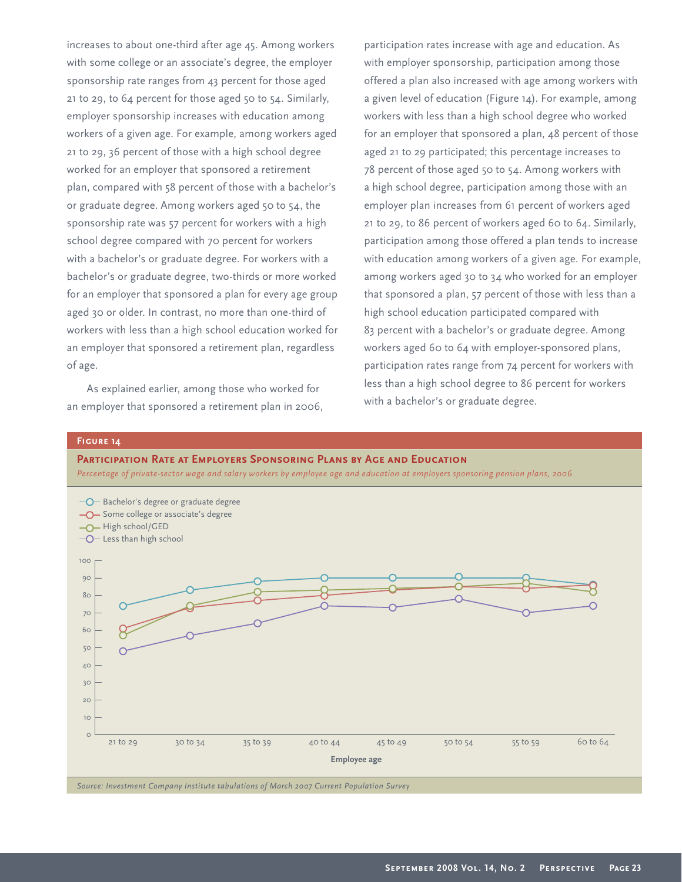increases to about one-third after age 45. Among workers with some college or an associate's degree, the employer sponsorship rate ranges from 43 percent for those aged 21 to 29, to 64 percent for those aged 50 to 54. Similarly, employer sponsorship increases with education among workers of a given age. For example, among workers aged 21 to 29, 36 percent of those with a high school degree worked for an employer that sponsored a retirement plan, compared with 58 percent of those with a bachelor's or graduate degree. Among workers aged 50 to 54, the sponsorship rate was 57 percent for workers with a high school degree compared with 70 percent for workers with a bachelor's or graduate degree. For workers with a bachelor's or graduate degree, two-thirds or more worked for an employer that sponsored a plan for every age group aged 30 or older. In contrast, no more than one-third of workers with less than a high school education worked for an employer that sponsored a retirement plan, regardless of age.

As explained earlier, among those who worked for an employer that sponsored a retirement plan in 2006, participation rates increase with age and education. As with employer sponsorship, participation among those offered a plan also increased with age among workers with a given level of education (Figure 14). For example, among workers with less than a high school degree who worked for an employer that sponsored a plan, 48 percent of those aged 21 to 29 participated; this percentage increases to 78 percent of those aged 50 to 54. Among workers with a high school degree, participation among those with an employer plan increases from 61 percent of workers aged 21 to 29, to 86 percent of workers aged 60 to 64. Similarly, participation among those offered a plan tends to increase with education among workers of a given age. For example, among workers aged 30 to 34 who worked for an employer that sponsored a plan, 57 percent of those with less than a high school education participated compared with 83 percent with a bachelor's or graduate degree. Among workers aged 60 to 64 with employer-sponsored plans, participation rates range from 74 percent for workers with less than a high school degree to 86 percent for workers with a bachelor's or graduate degree.

#### **Figure 14**

#### **Participation Rate at Employers Sponsoring Plans by Age and Education**

*Percentage of private-sector wage and salary workers by employee age and education at employers sponsoring pension plans, 2006*

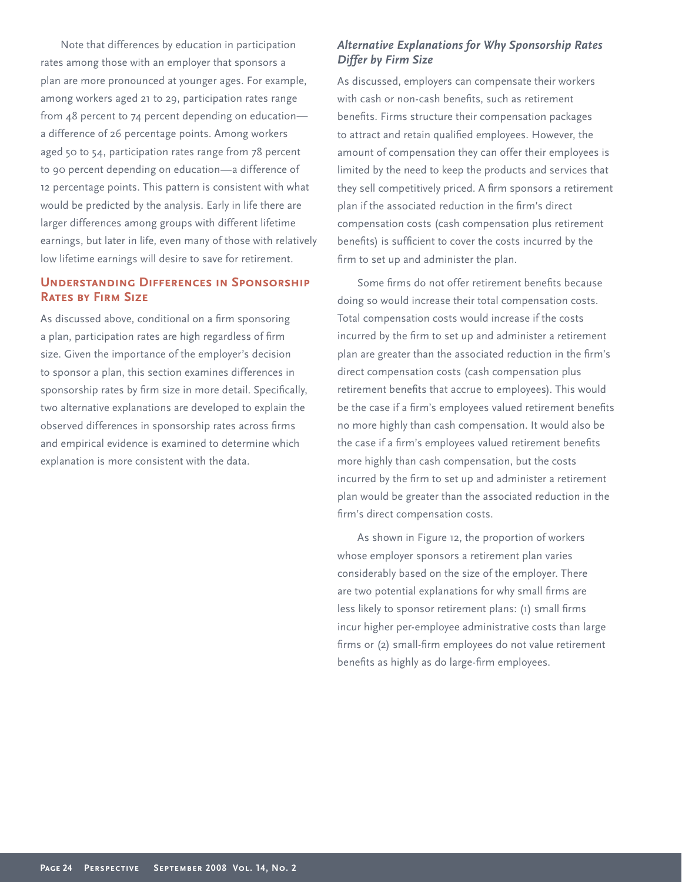Note that differences by education in participation rates among those with an employer that sponsors a plan are more pronounced at younger ages. For example, among workers aged 21 to 29, participation rates range from 48 percent to 74 percent depending on education a difference of 26 percentage points. Among workers aged 50 to 54, participation rates range from 78 percent to 90 percent depending on education—a difference of 12 percentage points. This pattern is consistent with what would be predicted by the analysis. Early in life there are larger differences among groups with different lifetime earnings, but later in life, even many of those with relatively low lifetime earnings will desire to save for retirement.

# **Understanding Differences in Sponsorship Rates by Firm Size**

As discussed above, conditional on a firm sponsoring a plan, participation rates are high regardless of firm size. Given the importance of the employer's decision to sponsor a plan, this section examines differences in sponsorship rates by firm size in more detail. Specifically, two alternative explanations are developed to explain the observed differences in sponsorship rates across firms and empirical evidence is examined to determine which explanation is more consistent with the data.

# *Alternative Explanations for Why Sponsorship Rates Differ by Firm Size*

As discussed, employers can compensate their workers with cash or non-cash benefits, such as retirement benefits. Firms structure their compensation packages to attract and retain qualified employees. However, the amount of compensation they can offer their employees is limited by the need to keep the products and services that they sell competitively priced. A firm sponsors a retirement plan if the associated reduction in the firm's direct compensation costs (cash compensation plus retirement benefits) is sufficient to cover the costs incurred by the firm to set up and administer the plan.

Some firms do not offer retirement benefits because doing so would increase their total compensation costs. Total compensation costs would increase if the costs incurred by the firm to set up and administer a retirement plan are greater than the associated reduction in the firm's direct compensation costs (cash compensation plus retirement benefits that accrue to employees). This would be the case if a firm's employees valued retirement benefits no more highly than cash compensation. It would also be the case if a firm's employees valued retirement benefits more highly than cash compensation, but the costs incurred by the firm to set up and administer a retirement plan would be greater than the associated reduction in the firm's direct compensation costs.

As shown in Figure 12, the proportion of workers whose employer sponsors a retirement plan varies considerably based on the size of the employer. There are two potential explanations for why small firms are less likely to sponsor retirement plans: (1) small firms incur higher per-employee administrative costs than large firms or (2) small-firm employees do not value retirement benefits as highly as do large-firm employees.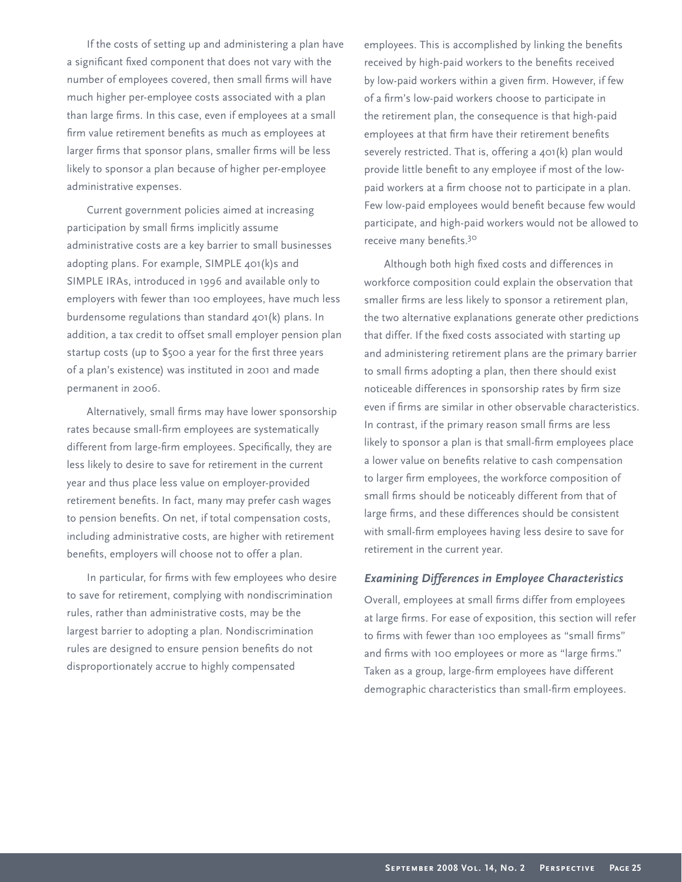If the costs of setting up and administering a plan have a significant fixed component that does not vary with the number of employees covered, then small firms will have much higher per-employee costs associated with a plan than large firms. In this case, even if employees at a small firm value retirement benefits as much as employees at larger firms that sponsor plans, smaller firms will be less likely to sponsor a plan because of higher per-employee administrative expenses.

Current government policies aimed at increasing participation by small firms implicitly assume administrative costs are a key barrier to small businesses adopting plans. For example, SIMPLE 401(k)s and SIMPLE IRAs, introduced in 1996 and available only to employers with fewer than 100 employees, have much less burdensome regulations than standard 401(k) plans. In addition, a tax credit to offset small employer pension plan startup costs (up to \$500 a year for the first three years of a plan's existence) was instituted in 2001 and made permanent in 2006.

Alternatively, small firms may have lower sponsorship rates because small-firm employees are systematically different from large-firm employees. Specifically, they are less likely to desire to save for retirement in the current year and thus place less value on employer-provided retirement benefits. In fact, many may prefer cash wages to pension benefits. On net, if total compensation costs, including administrative costs, are higher with retirement benefits, employers will choose not to offer a plan.

In particular, for firms with few employees who desire to save for retirement, complying with nondiscrimination rules, rather than administrative costs, may be the largest barrier to adopting a plan. Nondiscrimination rules are designed to ensure pension benefits do not disproportionately accrue to highly compensated

employees. This is accomplished by linking the benefits received by high-paid workers to the benefits received by low-paid workers within a given firm. However, if few of a firm's low-paid workers choose to participate in the retirement plan, the consequence is that high-paid employees at that firm have their retirement benefits severely restricted. That is, offering a 401(k) plan would provide little benefit to any employee if most of the lowpaid workers at a firm choose not to participate in a plan. Few low-paid employees would benefit because few would participate, and high-paid workers would not be allowed to receive many benefits.<sup>30</sup>

Although both high fixed costs and differences in workforce composition could explain the observation that smaller firms are less likely to sponsor a retirement plan, the two alternative explanations generate other predictions that differ. If the fixed costs associated with starting up and administering retirement plans are the primary barrier to small firms adopting a plan, then there should exist noticeable differences in sponsorship rates by firm size even if firms are similar in other observable characteristics. In contrast, if the primary reason small firms are less likely to sponsor a plan is that small-firm employees place a lower value on benefits relative to cash compensation to larger firm employees, the workforce composition of small firms should be noticeably different from that of large firms, and these differences should be consistent with small-firm employees having less desire to save for retirement in the current year.

# *Examining Differences in Employee Characteristics*

Overall, employees at small firms differ from employees at large firms. For ease of exposition, this section will refer to firms with fewer than 100 employees as "small firms" and firms with 100 employees or more as "large firms." Taken as a group, large-firm employees have different demographic characteristics than small-firm employees.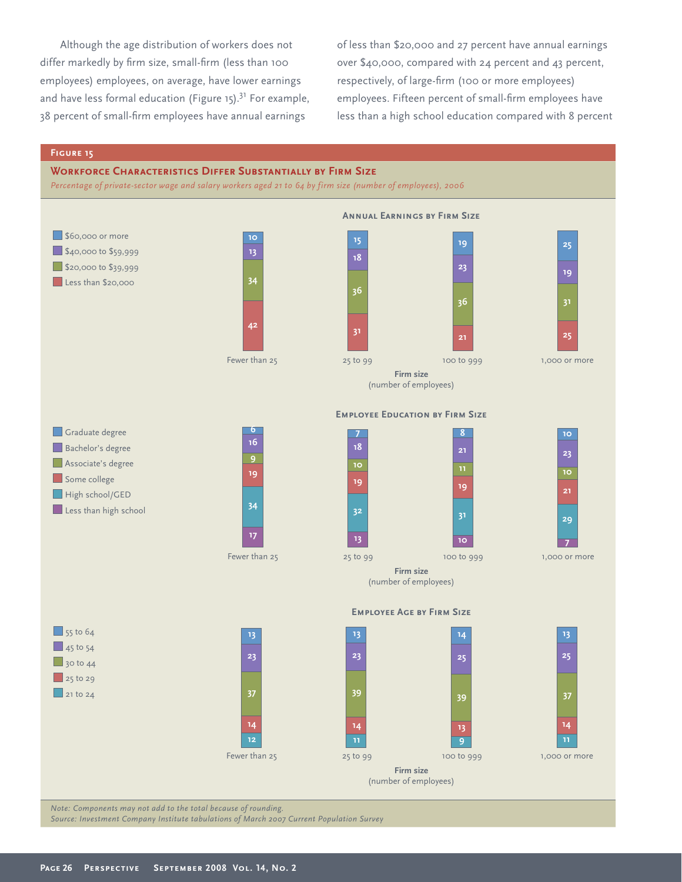Although the age distribution of workers does not differ markedly by firm size, small-firm (less than 100 employees) employees, on average, have lower earnings and have less formal education (Figure 15). $31$  For example, 38 percent of small-firm employees have annual earnings

of less than \$20,000 and 27 percent have annual earnings over \$40,000, compared with 24 percent and 43 percent, respectively, of large-firm (100 or more employees) employees. Fifteen percent of small-firm employees have less than a high school education compared with 8 percent

## **Figure 15**

## **Workforce Characteristics Differ Substantially by Firm Size**

*Percentage of private-sector wage and salary workers aged 21 to 64 by firm size (number of employees), 2006*



*Note: Components may not add to the total because of rounding.*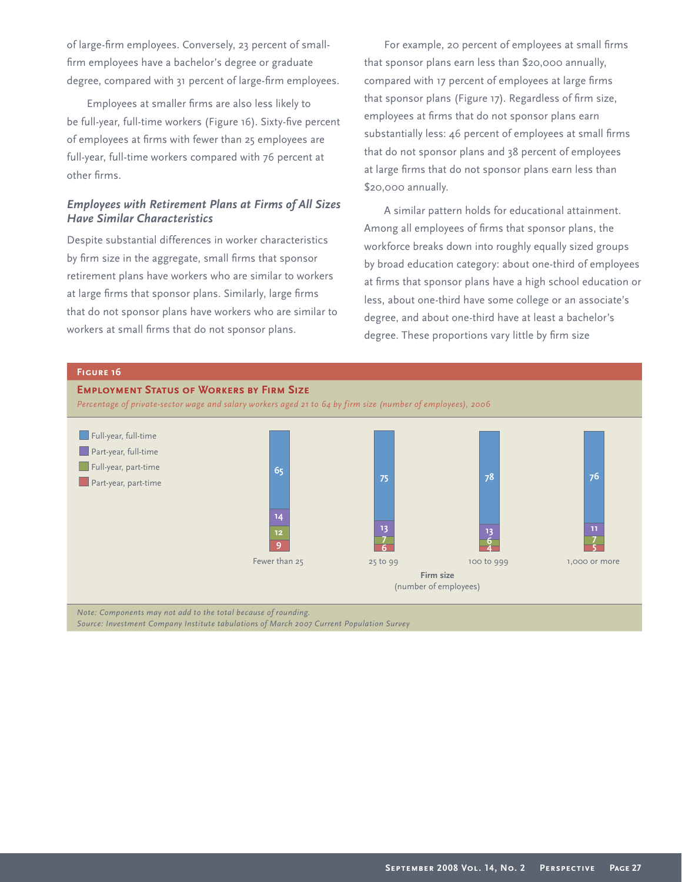of large-firm employees. Conversely, 23 percent of smallfirm employees have a bachelor's degree or graduate degree, compared with 31 percent of large-firm employees.

Employees at smaller firms are also less likely to be full-year, full-time workers (Figure 16). Sixty-five percent of employees at firms with fewer than 25 employees are full-year, full-time workers compared with 76 percent at other firms.

# *Employees with Retirement Plans at Firms of All Sizes Have Similar Characteristics*

Despite substantial differences in worker characteristics by firm size in the aggregate, small firms that sponsor retirement plans have workers who are similar to workers at large firms that sponsor plans. Similarly, large firms that do not sponsor plans have workers who are similar to workers at small firms that do not sponsor plans.

For example, 20 percent of employees at small firms that sponsor plans earn less than \$20,000 annually, compared with 17 percent of employees at large firms that sponsor plans (Figure 17). Regardless of firm size, employees at firms that do not sponsor plans earn substantially less: 46 percent of employees at small firms that do not sponsor plans and 38 percent of employees at large firms that do not sponsor plans earn less than \$20,000 annually.

A similar pattern holds for educational attainment. Among all employees of firms that sponsor plans, the workforce breaks down into roughly equally sized groups by broad education category: about one-third of employees at firms that sponsor plans have a high school education or less, about one-third have some college or an associate's degree, and about one-third have at least a bachelor's degree. These proportions vary little by firm size

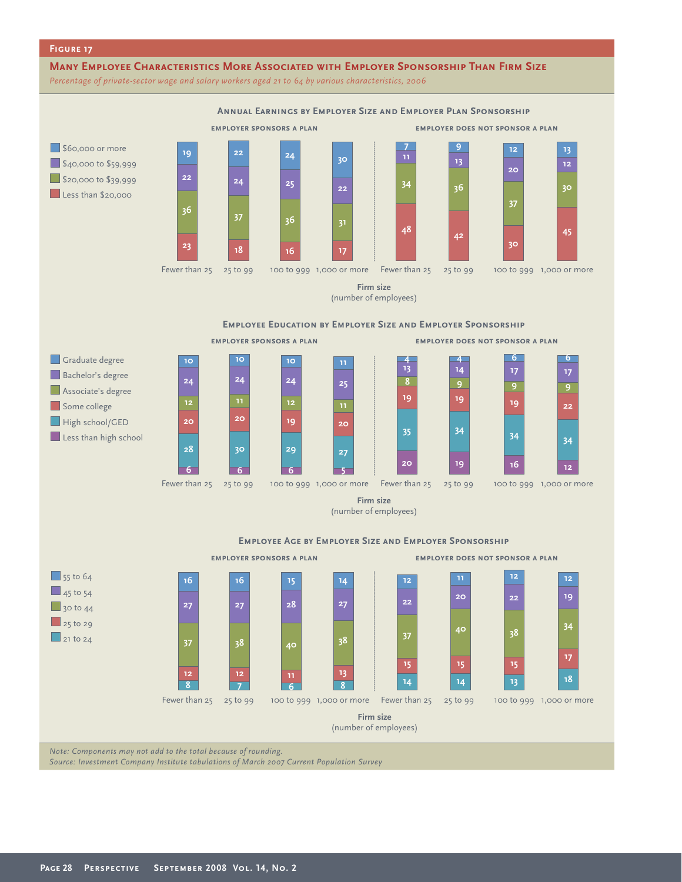## **Figure 17**

## **Many Employee Characteristics More Associated with Employer Sponsorship Than Firm Size**

*Percentage of private-sector wage and salary workers aged 21 to 64 by various characteristics, 2006*



**Firm size** (number of employees)

**Employee Age by Employer Size and Employer Sponsorship**



*Note: Components may not add to the total because of rounding.*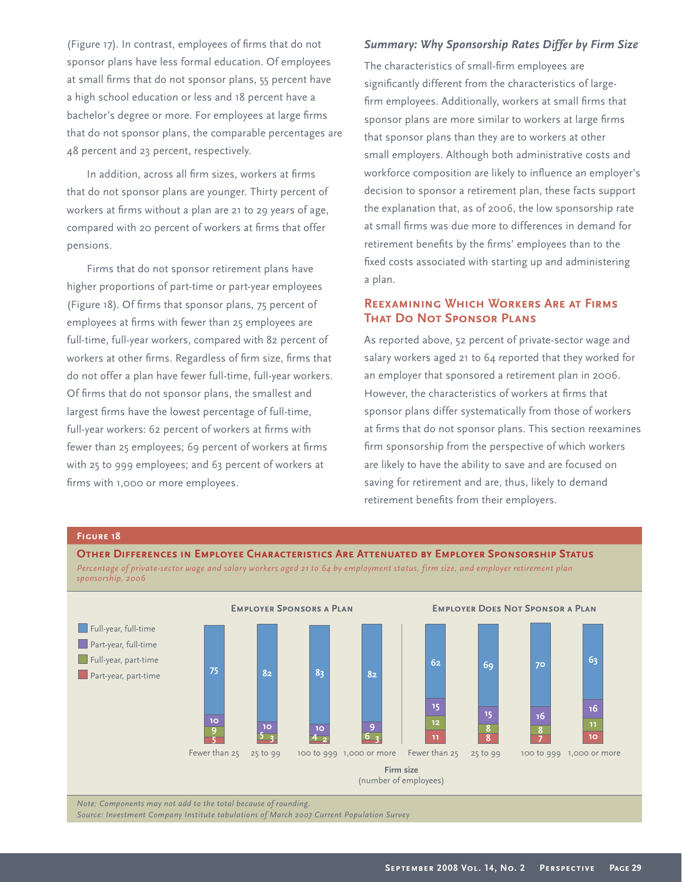(Figure 17). In contrast, employees of firms that do not sponsor plans have less formal education. Of employees at small firms that do not sponsor plans, 55 percent have a high school education or less and 18 percent have a bachelor's degree or more. For employees at large firms that do not sponsor plans, the comparable percentages are 48 percent and 23 percent, respectively.

In addition, across all firm sizes, workers at firms that do not sponsor plans are younger. Thirty percent of workers at firms without a plan are 21 to 29 years of age, compared with 20 percent of workers at firms that offer pensions.

Firms that do not sponsor retirement plans have higher proportions of part-time or part-year employees (Figure 18). Of firms that sponsor plans, 75 percent of employees at firms with fewer than 25 employees are full-time, full-year workers, compared with 82 percent of workers at other firms. Regardless of firm size, firms that do not offer a plan have fewer full-time, full-year workers. Of firms that do not sponsor plans, the smallest and largest firms have the lowest percentage of full-time, full-year workers: 62 percent of workers at firms with fewer than 25 employees; 69 percent of workers at firms with 25 to 999 employees; and 63 percent of workers at firms with 1,000 or more employees.

# *Summary: Why Sponsorship Rates Differ by Firm Size*

The characteristics of small-firm employees are significantly different from the characteristics of largefirm employees. Additionally, workers at small firms that sponsor plans are more similar to workers at large firms that sponsor plans than they are to workers at other small employers. Although both administrative costs and workforce composition are likely to influence an employer's decision to sponsor a retirement plan, these facts support the explanation that, as of 2006, the low sponsorship rate at small firms was due more to differences in demand for retirement benefits by the firms' employees than to the fixed costs associated with starting up and administering a plan.

# **Reexamining Which Workers Are at Firms That Do Not Sponsor Plans**

As reported above, 52 percent of private-sector wage and salary workers aged 21 to 64 reported that they worked for an employer that sponsored a retirement plan in 2006. However, the characteristics of workers at firms that sponsor plans differ systematically from those of workers at firms that do not sponsor plans. This section reexamines firm sponsorship from the perspective of which workers are likely to have the ability to save and are focused on saving for retirement and are, thus, likely to demand retirement benefits from their employers.

#### **Figure 18**



*Note: Components may not add to the total because of rounding.*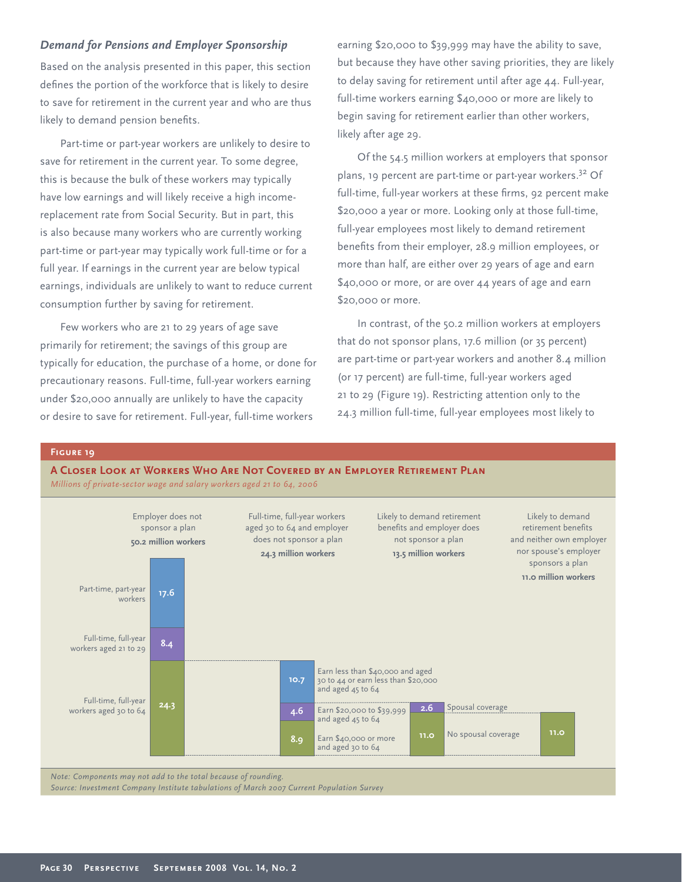# *Demand for Pensions and Employer Sponsorship*

Based on the analysis presented in this paper, this section defines the portion of the workforce that is likely to desire to save for retirement in the current year and who are thus likely to demand pension benefits.

Part-time or part-year workers are unlikely to desire to save for retirement in the current year. To some degree, this is because the bulk of these workers may typically have low earnings and will likely receive a high incomereplacement rate from Social Security. But in part, this is also because many workers who are currently working part-time or part-year may typically work full-time or for a full year. If earnings in the current year are below typical earnings, individuals are unlikely to want to reduce current consumption further by saving for retirement.

Few workers who are 21 to 29 years of age save primarily for retirement; the savings of this group are typically for education, the purchase of a home, or done for precautionary reasons. Full-time, full-year workers earning under \$20,000 annually are unlikely to have the capacity or desire to save for retirement. Full-year, full-time workers

earning \$20,000 to \$39,999 may have the ability to save, but because they have other saving priorities, they are likely to delay saving for retirement until after age 44. Full-year, full-time workers earning \$40,000 or more are likely to begin saving for retirement earlier than other workers, likely after age 29.

Of the 54.5 million workers at employers that sponsor plans, 19 percent are part-time or part-year workers.<sup>32</sup> Of full-time, full-year workers at these firms, 92 percent make \$20,000 a year or more. Looking only at those full-time, full-year employees most likely to demand retirement benefits from their employer, 28.9 million employees, or more than half, are either over 29 years of age and earn \$40,000 or more, or are over 44 years of age and earn \$20,000 or more.

In contrast, of the 50.2 million workers at employers that do not sponsor plans, 17.6 million (or 35 percent) are part-time or part-year workers and another 8.4 million (or 17 percent) are full-time, full-year workers aged 21 to 29 (Figure 19). Restricting attention only to the 24.3 million full-time, full-year employees most likely to



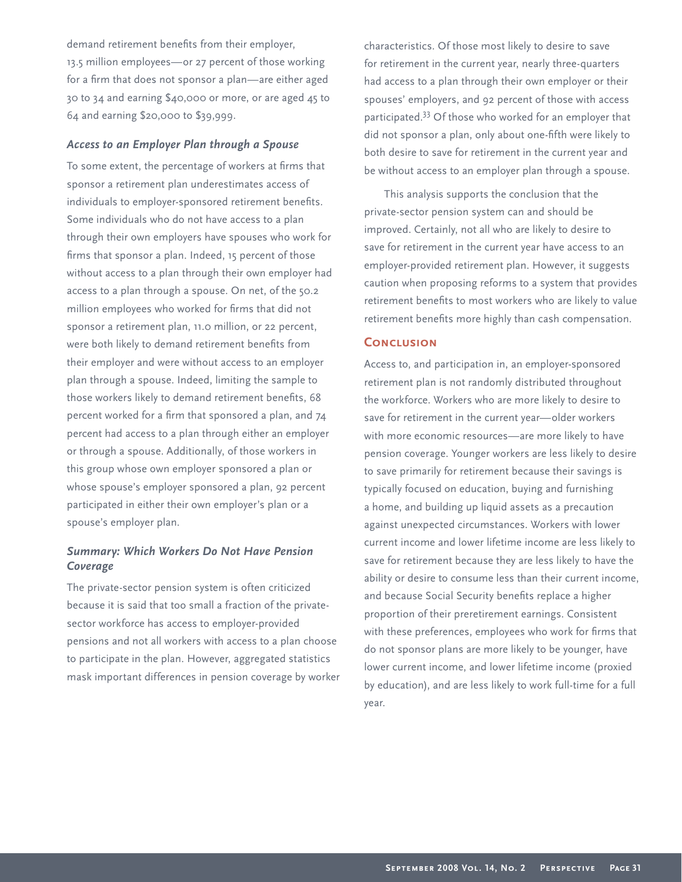demand retirement benefits from their employer, 13.5 million employees—or 27 percent of those working for a firm that does not sponsor a plan-are either aged 30 to 34 and earning \$40,000 or more, or are aged 45 to 64 and earning \$20,000 to \$39,999.

## *Access to an Employer Plan through a Spouse*

To some extent, the percentage of workers at firms that sponsor a retirement plan underestimates access of individuals to employer-sponsored retirement benefits. Some individuals who do not have access to a plan through their own employers have spouses who work for firms that sponsor a plan. Indeed, 15 percent of those without access to a plan through their own employer had access to a plan through a spouse. On net, of the 50.2 million employees who worked for firms that did not sponsor a retirement plan, 11.0 million, or 22 percent, were both likely to demand retirement benefits from their employer and were without access to an employer plan through a spouse. Indeed, limiting the sample to those workers likely to demand retirement benefits, 68 percent worked for a firm that sponsored a plan, and 74 percent had access to a plan through either an employer or through a spouse. Additionally, of those workers in this group whose own employer sponsored a plan or whose spouse's employer sponsored a plan, 92 percent participated in either their own employer's plan or a spouse's employer plan.

# *Summary: Which Workers Do Not Have Pension Coverage*

The private-sector pension system is often criticized because it is said that too small a fraction of the privatesector workforce has access to employer-provided pensions and not all workers with access to a plan choose to participate in the plan. However, aggregated statistics mask important differences in pension coverage by worker characteristics. Of those most likely to desire to save for retirement in the current year, nearly three-quarters had access to a plan through their own employer or their spouses' employers, and 92 percent of those with access participated.33 Of those who worked for an employer that did not sponsor a plan, only about one-fifth were likely to both desire to save for retirement in the current year and be without access to an employer plan through a spouse.

This analysis supports the conclusion that the private-sector pension system can and should be improved. Certainly, not all who are likely to desire to save for retirement in the current year have access to an employer-provided retirement plan. However, it suggests caution when proposing reforms to a system that provides retirement benefits to most workers who are likely to value retirement benefits more highly than cash compensation.

## **CONCLUSION**

Access to, and participation in, an employer-sponsored retirement plan is not randomly distributed throughout the workforce. Workers who are more likely to desire to save for retirement in the current year—older workers with more economic resources—are more likely to have pension coverage. Younger workers are less likely to desire to save primarily for retirement because their savings is typically focused on education, buying and furnishing a home, and building up liquid assets as a precaution against unexpected circumstances. Workers with lower current income and lower lifetime income are less likely to save for retirement because they are less likely to have the ability or desire to consume less than their current income, and because Social Security benefits replace a higher proportion of their preretirement earnings. Consistent with these preferences, employees who work for firms that do not sponsor plans are more likely to be younger, have lower current income, and lower lifetime income (proxied by education), and are less likely to work full-time for a full year.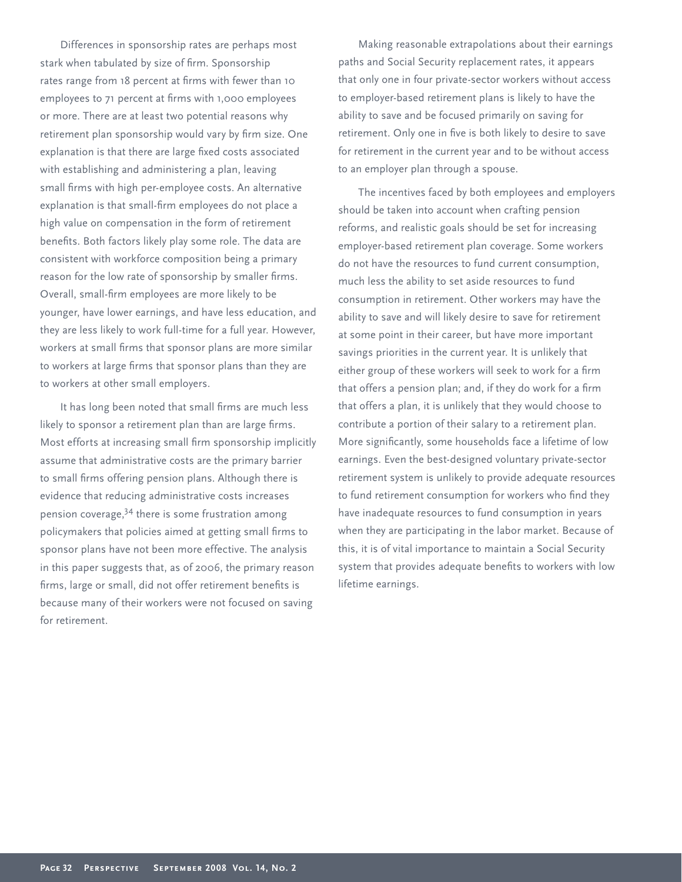Differences in sponsorship rates are perhaps most stark when tabulated by size of firm. Sponsorship rates range from 18 percent at firms with fewer than 10 employees to 71 percent at firms with 1,000 employees or more. There are at least two potential reasons why retirement plan sponsorship would vary by firm size. One explanation is that there are large fixed costs associated with establishing and administering a plan, leaving small firms with high per-employee costs. An alternative explanation is that small-firm employees do not place a high value on compensation in the form of retirement benefits. Both factors likely play some role. The data are consistent with workforce composition being a primary reason for the low rate of sponsorship by smaller firms. Overall, small-firm employees are more likely to be younger, have lower earnings, and have less education, and they are less likely to work full-time for a full year. However, workers at small firms that sponsor plans are more similar to workers at large firms that sponsor plans than they are to workers at other small employers.

It has long been noted that small firms are much less likely to sponsor a retirement plan than are large firms. Most efforts at increasing small firm sponsorship implicitly assume that administrative costs are the primary barrier to small firms offering pension plans. Although there is evidence that reducing administrative costs increases pension coverage,34 there is some frustration among policymakers that policies aimed at getting small firms to sponsor plans have not been more effective. The analysis in this paper suggests that, as of 2006, the primary reason firms, large or small, did not offer retirement benefits is because many of their workers were not focused on saving for retirement.

Making reasonable extrapolations about their earnings paths and Social Security replacement rates, it appears that only one in four private-sector workers without access to employer-based retirement plans is likely to have the ability to save and be focused primarily on saving for retirement. Only one in five is both likely to desire to save for retirement in the current year and to be without access to an employer plan through a spouse.

The incentives faced by both employees and employers should be taken into account when crafting pension reforms, and realistic goals should be set for increasing employer-based retirement plan coverage. Some workers do not have the resources to fund current consumption, much less the ability to set aside resources to fund consumption in retirement. Other workers may have the ability to save and will likely desire to save for retirement at some point in their career, but have more important savings priorities in the current year. It is unlikely that either group of these workers will seek to work for a firm that offers a pension plan; and, if they do work for a firm that offers a plan, it is unlikely that they would choose to contribute a portion of their salary to a retirement plan. More significantly, some households face a lifetime of low earnings. Even the best-designed voluntary private-sector retirement system is unlikely to provide adequate resources to fund retirement consumption for workers who find they have inadequate resources to fund consumption in years when they are participating in the labor market. Because of this, it is of vital importance to maintain a Social Security system that provides adequate benefits to workers with low lifetime earnings.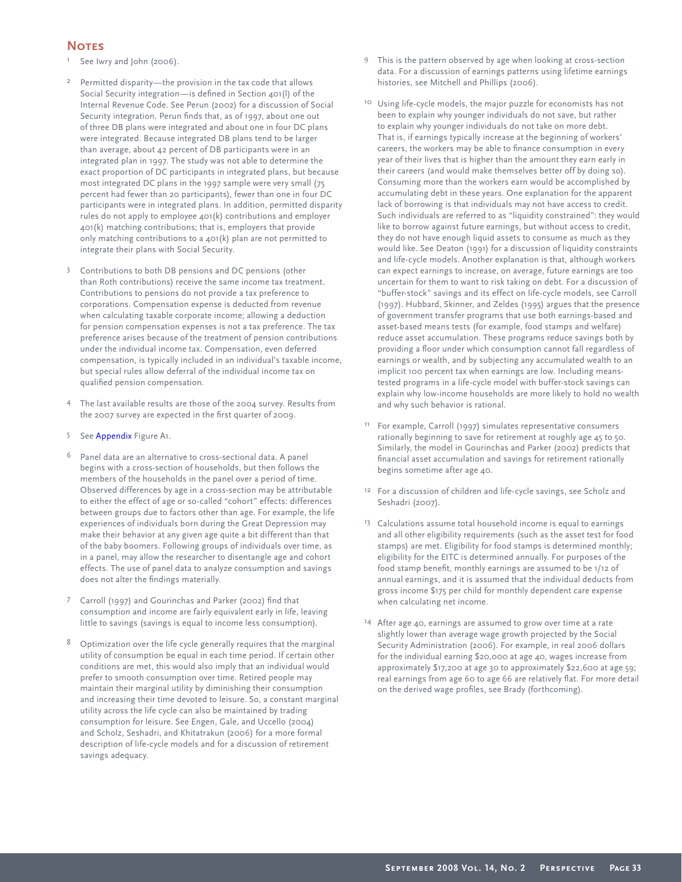## **Notes**

- <sup>1</sup> See Iwry and John (2006).
- Permitted disparity—the provision in the tax code that allows Social Security integration—is defined in Section 401(l) of the Internal Revenue Code. See Perun (2002) for a discussion of Social Security integration. Perun finds that, as of 1997, about one out of three DB plans were integrated and about one in four DC plans were integrated. Because integrated DB plans tend to be larger than average, about 42 percent of DB participants were in an integrated plan in 1997. The study was not able to determine the exact proportion of DC participants in integrated plans, but because most integrated DC plans in the 1997 sample were very small (75 percent had fewer than 20 participants), fewer than one in four DC participants were in integrated plans. In addition, permitted disparity rules do not apply to employee 401(k) contributions and employer 401(k) matching contributions; that is, employers that provide only matching contributions to a 401(k) plan are not permitted to integrate their plans with Social Security.
- <sup>3</sup> Contributions to both DB pensions and DC pensions (other than Roth contributions) receive the same income tax treatment. Contributions to pensions do not provide a tax preference to corporations. Compensation expense is deducted from revenue when calculating taxable corporate income; allowing a deduction for pension compensation expenses is not a tax preference. The tax preference arises because of the treatment of pension contributions under the individual income tax. Compensation, even deferred compensation, is typically included in an individual's taxable income, but special rules allow deferral of the individual income tax on qualified pension compensation.
- <sup>4</sup> The last available results are those of the 2004 survey. Results from the 2007 survey are expected in the first quarter of 2009.
- 5 See Appendix Figure A1.
- Panel data are an alternative to cross-sectional data. A panel begins with a cross-section of households, but then follows the members of the households in the panel over a period of time. Observed differences by age in a cross-section may be attributable to either the effect of age or so-called "cohort" effects: differences between groups due to factors other than age. For example, the life experiences of individuals born during the Great Depression may make their behavior at any given age quite a bit different than that of the baby boomers. Following groups of individuals over time, as in a panel, may allow the researcher to disentangle age and cohort effects. The use of panel data to analyze consumption and savings does not alter the findings materially.
- Carroll (1997) and Gourinchas and Parker (2002) find that consumption and income are fairly equivalent early in life, leaving little to savings (savings is equal to income less consumption).
- <sup>8</sup> Optimization over the life cycle generally requires that the marginal utility of consumption be equal in each time period. If certain other conditions are met, this would also imply that an individual would prefer to smooth consumption over time. Retired people may maintain their marginal utility by diminishing their consumption and increasing their time devoted to leisure. So, a constant marginal utility across the life cycle can also be maintained by trading consumption for leisure. See Engen, Gale, and Uccello (2004) and Scholz, Seshadri, and Khitatrakun (2006) for a more formal description of life-cycle models and for a discussion of retirement savings adequacy.
- <sup>9</sup> This is the pattern observed by age when looking at cross-section data. For a discussion of earnings patterns using lifetime earnings histories, see Mitchell and Phillips (2006).
- <sup>10</sup> Using life-cycle models, the major puzzle for economists has not been to explain why younger individuals do not save, but rather to explain why younger individuals do not take on more debt. That is, if earnings typically increase at the beginning of workers' careers, the workers may be able to finance consumption in every year of their lives that is higher than the amount they earn early in their careers (and would make themselves better off by doing so). Consuming more than the workers earn would be accomplished by accumulating debt in these years. One explanation for the apparent lack of borrowing is that individuals may not have access to credit. Such individuals are referred to as "liquidity constrained": they would like to borrow against future earnings, but without access to credit, they do not have enough liquid assets to consume as much as they would like. See Deaton (1991) for a discussion of liquidity constraints and life-cycle models. Another explanation is that, although workers can expect earnings to increase, on average, future earnings are too uncertain for them to want to risk taking on debt. For a discussion of "buffer-stock" savings and its effect on life-cycle models, see Carroll (1997). Hubbard, Skinner, and Zeldes (1995) argues that the presence of government transfer programs that use both earnings-based and asset-based means tests (for example, food stamps and welfare) reduce asset accumulation. These programs reduce savings both by providing a floor under which consumption cannot fall regardless of earnings or wealth, and by subjecting any accumulated wealth to an implicit 100 percent tax when earnings are low. Including meanstested programs in a life-cycle model with buffer-stock savings can explain why low-income households are more likely to hold no wealth and why such behavior is rational.
- <sup>11</sup> For example, Carroll (1997) simulates representative consumers rationally beginning to save for retirement at roughly age 45 to 50. Similarly, the model in Gourinchas and Parker (2002) predicts that financial asset accumulation and savings for retirement rationally begins sometime after age 40.
- <sup>12</sup> For a discussion of children and life-cycle savings, see Scholz and Seshadri (2007).
- <sup>13</sup> Calculations assume total household income is equal to earnings and all other eligibility requirements (such as the asset test for food stamps) are met. Eligibility for food stamps is determined monthly; eligibility for the EITC is determined annually. For purposes of the food stamp benefit, monthly earnings are assumed to be 1/12 of annual earnings, and it is assumed that the individual deducts from gross income \$175 per child for monthly dependent care expense when calculating net income.
- 14 After age 40, earnings are assumed to grow over time at a rate slightly lower than average wage growth projected by the Social Security Administration (2006). For example, in real 2006 dollars for the individual earning \$20,000 at age 40, wages increase from approximately \$17,200 at age 30 to approximately \$22,600 at age 59; real earnings from age 60 to age 66 are relatively flat. For more detail on the derived wage profiles, see Brady (forthcoming).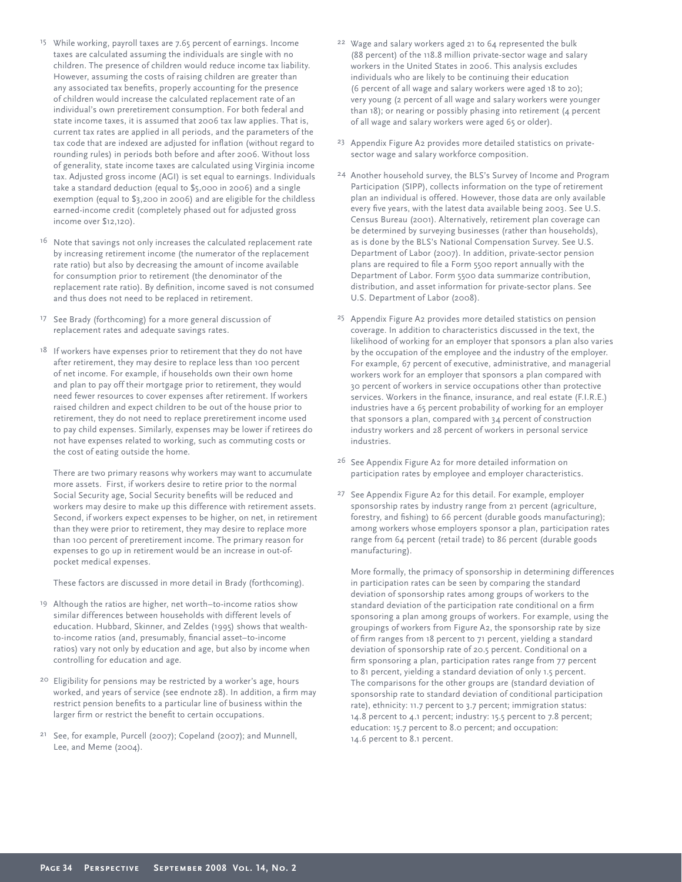- <sup>15</sup> While working, payroll taxes are 7.65 percent of earnings. Income taxes are calculated assuming the individuals are single with no children. The presence of children would reduce income tax liability. However, assuming the costs of raising children are greater than any associated tax benefits, properly accounting for the presence of children would increase the calculated replacement rate of an individual's own preretirement consumption. For both federal and state income taxes, it is assumed that 2006 tax law applies. That is, current tax rates are applied in all periods, and the parameters of the tax code that are indexed are adjusted for inflation (without regard to rounding rules) in periods both before and after 2006. Without loss of generality, state income taxes are calculated using Virginia income tax. Adjusted gross income (AGI) is set equal to earnings. Individuals take a standard deduction (equal to \$5,000 in 2006) and a single exemption (equal to \$3,200 in 2006) and are eligible for the childless earned-income credit (completely phased out for adjusted gross income over \$12,120).
- <sup>16</sup> Note that savings not only increases the calculated replacement rate by increasing retirement income (the numerator of the replacement rate ratio) but also by decreasing the amount of income available for consumption prior to retirement (the denominator of the replacement rate ratio). By definition, income saved is not consumed and thus does not need to be replaced in retirement.
- <sup>17</sup> See Brady (forthcoming) for a more general discussion of replacement rates and adequate savings rates.
- <sup>18</sup> If workers have expenses prior to retirement that they do not have after retirement, they may desire to replace less than 100 percent of net income. For example, if households own their own home and plan to pay off their mortgage prior to retirement, they would need fewer resources to cover expenses after retirement. If workers raised children and expect children to be out of the house prior to retirement, they do not need to replace preretirement income used to pay child expenses. Similarly, expenses may be lower if retirees do not have expenses related to working, such as commuting costs or the cost of eating outside the home.

 There are two primary reasons why workers may want to accumulate more assets. First, if workers desire to retire prior to the normal Social Security age, Social Security benefits will be reduced and workers may desire to make up this difference with retirement assets. Second, if workers expect expenses to be higher, on net, in retirement than they were prior to retirement, they may desire to replace more than 100 percent of preretirement income. The primary reason for expenses to go up in retirement would be an increase in out-ofpocket medical expenses.

These factors are discussed in more detail in Brady (forthcoming).

- <sup>19</sup> Although the ratios are higher, net worth–to-income ratios show similar differences between households with different levels of education. Hubbard, Skinner, and Zeldes (1995) shows that wealthto-income ratios (and, presumably, financial asset-to-income ratios) vary not only by education and age, but also by income when controlling for education and age.
- <sup>20</sup> Eligibility for pensions may be restricted by a worker's age, hours worked, and years of service (see endnote 28). In addition, a firm may restrict pension benefits to a particular line of business within the larger firm or restrict the benefit to certain occupations.
- <sup>21</sup> See, for example, Purcell (2007); Copeland (2007); and Munnell, Lee, and Meme (2004).
- <sup>22</sup> Wage and salary workers aged 21 to 64 represented the bulk (88 percent) of the 118.8 million private-sector wage and salary workers in the United States in 2006. This analysis excludes individuals who are likely to be continuing their education (6 percent of all wage and salary workers were aged 18 to 20); very young (2 percent of all wage and salary workers were younger than 18); or nearing or possibly phasing into retirement (4 percent of all wage and salary workers were aged 65 or older).
- <sup>23</sup> Appendix Figure A2 provides more detailed statistics on privatesector wage and salary workforce composition.
- <sup>24</sup> Another household survey, the BLS's Survey of Income and Program Participation (SIPP), collects information on the type of retirement plan an individual is offered. However, those data are only available every five years, with the latest data available being 2003. See U.S. Census Bureau (2001). Alternatively, retirement plan coverage can be determined by surveying businesses (rather than households), as is done by the BLS's National Compensation Survey. See U.S. Department of Labor (2007). In addition, private-sector pension plans are required to file a Form 5500 report annually with the Department of Labor. Form 5500 data summarize contribution, distribution, and asset information for private-sector plans. See U.S. Department of Labor (2008).
- <sup>25</sup> Appendix Figure A2 provides more detailed statistics on pension coverage. In addition to characteristics discussed in the text, the likelihood of working for an employer that sponsors a plan also varies by the occupation of the employee and the industry of the employer. For example, 67 percent of executive, administrative, and managerial workers work for an employer that sponsors a plan compared with 30 percent of workers in service occupations other than protective services. Workers in the finance, insurance, and real estate (F.I.R.E.) industries have a 65 percent probability of working for an employer that sponsors a plan, compared with 34 percent of construction industry workers and 28 percent of workers in personal service industries.
- <sup>26</sup> See Appendix Figure A2 for more detailed information on participation rates by employee and employer characteristics.
- <sup>27</sup> See Appendix Figure A2 for this detail. For example, employer sponsorship rates by industry range from 21 percent (agriculture, forestry, and fishing) to 66 percent (durable goods manufacturing); among workers whose employers sponsor a plan, participation rates range from 64 percent (retail trade) to 86 percent (durable goods manufacturing).

 More formally, the primacy of sponsorship in determining differences in participation rates can be seen by comparing the standard deviation of sponsorship rates among groups of workers to the standard deviation of the participation rate conditional on a firm sponsoring a plan among groups of workers. For example, using the groupings of workers from Figure A2, the sponsorship rate by size of firm ranges from 18 percent to 71 percent, yielding a standard deviation of sponsorship rate of 20.5 percent. Conditional on a firm sponsoring a plan, participation rates range from 77 percent to 81 percent, yielding a standard deviation of only 1.5 percent. The comparisons for the other groups are (standard deviation of sponsorship rate to standard deviation of conditional participation rate), ethnicity: 11.7 percent to 3.7 percent; immigration status: 14.8 percent to 4.1 percent; industry: 15.5 percent to 7.8 percent; education: 15.7 percent to 8.0 percent; and occupation: 14.6 percent to 8.1 percent.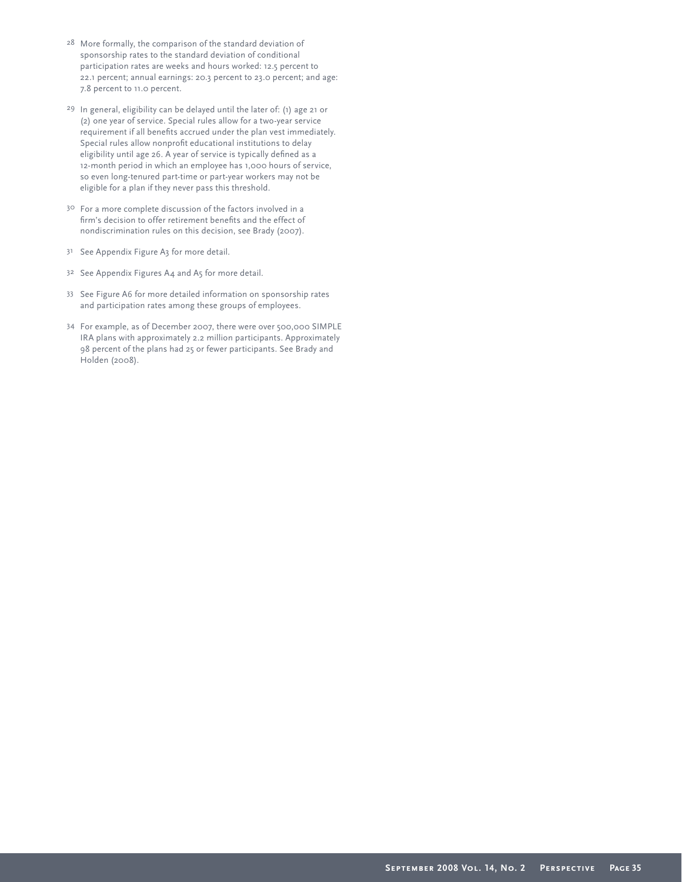- <sup>28</sup> More formally, the comparison of the standard deviation of sponsorship rates to the standard deviation of conditional participation rates are weeks and hours worked: 12.5 percent to 22.1 percent; annual earnings: 20.3 percent to 23.0 percent; and age: 7.8 percent to 11.0 percent.
- <sup>29</sup> In general, eligibility can be delayed until the later of: (1) age 21 or (2) one year of service. Special rules allow for a two-year service requirement if all benefits accrued under the plan vest immediately. Special rules allow nonprofit educational institutions to delay eligibility until age 26. A year of service is typically defined as a 12-month period in which an employee has 1,000 hours of service, so even long-tenured part-time or part-year workers may not be eligible for a plan if they never pass this threshold.
- <sup>30</sup> For a more complete discussion of the factors involved in a firm's decision to offer retirement benefits and the effect of nondiscrimination rules on this decision, see Brady (2007).
- <sup>31</sup> See Appendix Figure A3 for more detail.
- <sup>32</sup> See Appendix Figures A4 and A5 for more detail.
- <sup>33</sup> See Figure A6 for more detailed information on sponsorship rates and participation rates among these groups of employees.
- <sup>34</sup> For example, as of December 2007, there were over 500,000 SIMPLE IRA plans with approximately 2.2 million participants. Approximately 98 percent of the plans had 25 or fewer participants. See Brady and Holden (2008).